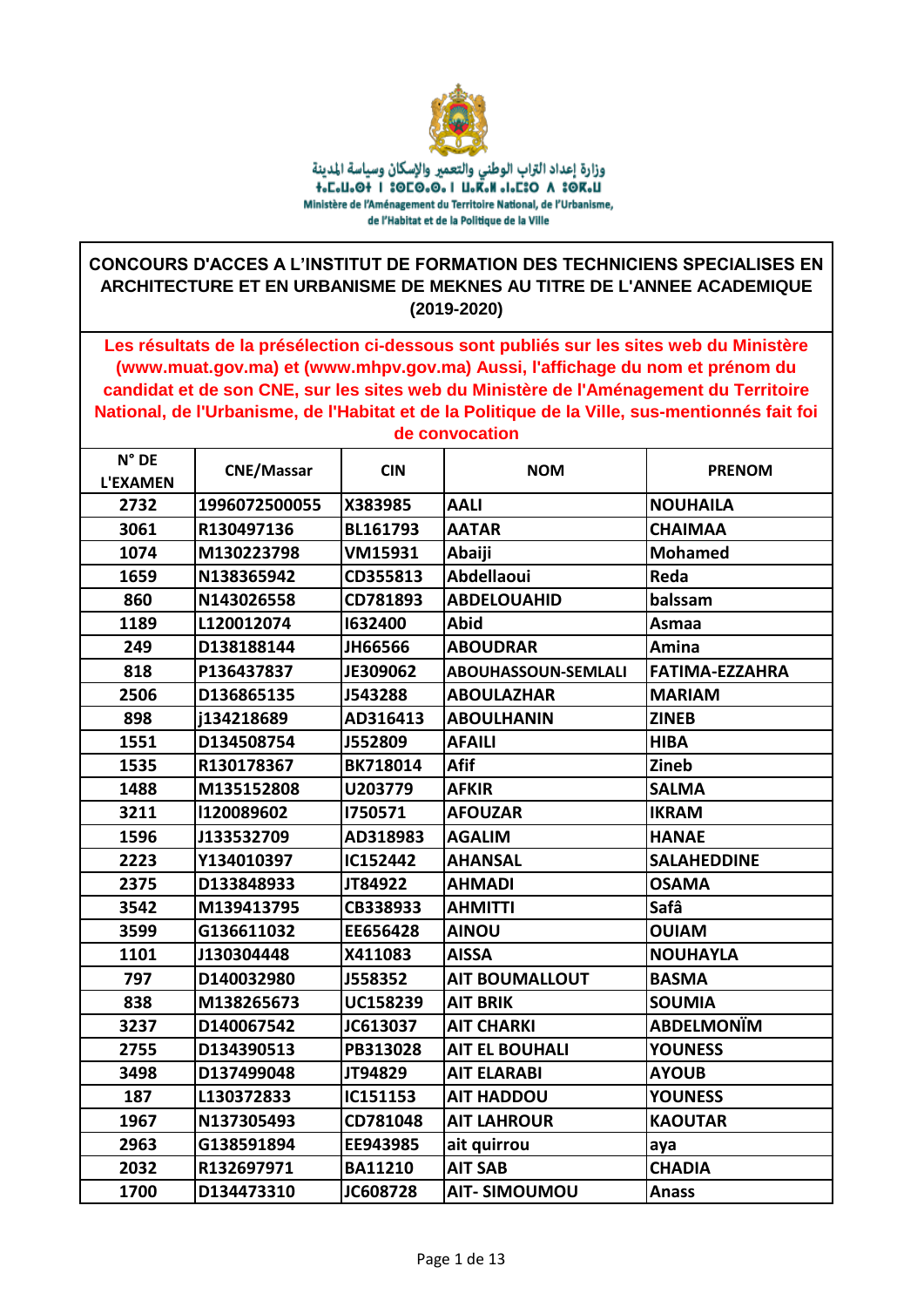

**CONCOURS D'ACCES A L'INSTITUT DE FORMATION DES TECHNICIENS SPECIALISES EN** ARCHITECTURE ET EN URBANISME DE MEKNES AU TITRE DE L'ANNEE ACADEMIQUE  $(2019 - 2020)$ 

Les résultats de la présélection ci-dessous sont publiés sur les sites web du Ministère (www.muat.gov.ma) et (www.mhpv.gov.ma) Aussi, l'affichage du nom et prénom du candidat et de son CNE, sur les sites web du Ministère de l'Aménagement du Territoire National, de l'Urbanisme, de l'Habitat et de la Politique de la Ville, sus-mentionnés fait foi de convocation

| $N^{\circ}$ DE  |                   |                 |                            |                       |
|-----------------|-------------------|-----------------|----------------------------|-----------------------|
| <b>L'EXAMEN</b> | <b>CNE/Massar</b> | <b>CIN</b>      | <b>NOM</b>                 | <b>PRENOM</b>         |
| 2732            | 1996072500055     | X383985         | <b>AALI</b>                | <b>NOUHAILA</b>       |
| 3061            | R130497136        | BL161793        | <b>AATAR</b>               | <b>CHAIMAA</b>        |
| 1074            | M130223798        | <b>VM15931</b>  | Abaiji                     | <b>Mohamed</b>        |
| 1659            | N138365942        | CD355813        | Abdellaoui                 | Reda                  |
| 860             | N143026558        | CD781893        | <b>ABDELOUAHID</b>         | balssam               |
| 1189            | L120012074        | 1632400         | <b>Abid</b>                | Asmaa                 |
| 249             | D138188144        | JH66566         | <b>ABOUDRAR</b>            | Amina                 |
| 818             | P136437837        | JE309062        | <b>ABOUHASSOUN-SEMLALI</b> | <b>FATIMA-EZZAHRA</b> |
| 2506            | D136865135        | J543288         | <b>ABOULAZHAR</b>          | <b>MARIAM</b>         |
| 898             | i134218689        | AD316413        | <b>ABOULHANIN</b>          | <b>ZINEB</b>          |
| 1551            | D134508754        | J552809         | <b>AFAILI</b>              | <b>HIBA</b>           |
| 1535            | R130178367        | BK718014        | Afif                       | <b>Zineb</b>          |
| 1488            | M135152808        | U203779         | <b>AFKIR</b>               | <b>SALMA</b>          |
| 3211            | 1120089602        | 1750571         | <b>AFOUZAR</b>             | <b>IKRAM</b>          |
| 1596            | J133532709        | AD318983        | <b>AGALIM</b>              | <b>HANAE</b>          |
| 2223            | Y134010397        | IC152442        | <b>AHANSAL</b>             | <b>SALAHEDDINE</b>    |
| 2375            | D133848933        | JT84922         | <b>AHMADI</b>              | <b>OSAMA</b>          |
| 3542            | M139413795        | CB338933        | <b>AHMITTI</b>             | Safâ                  |
| 3599            | G136611032        | EE656428        | <b>AINOU</b>               | <b>OUIAM</b>          |
| 1101            | J130304448        | X411083         | <b>AISSA</b>               | <b>NOUHAYLA</b>       |
| 797             | D140032980        | J558352         | <b>AIT BOUMALLOUT</b>      | <b>BASMA</b>          |
| 838             | M138265673        | <b>UC158239</b> | <b>AIT BRIK</b>            | <b>SOUMIA</b>         |
| 3237            | D140067542        | JC613037        | <b>AIT CHARKI</b>          | <b>ABDELMONIM</b>     |
| 2755            | D134390513        | PB313028        | <b>AIT EL BOUHALI</b>      | <b>YOUNESS</b>        |
| 3498            | D137499048        | JT94829         | <b>AIT ELARABI</b>         | <b>AYOUB</b>          |
| 187             | L130372833        | IC151153        | <b>AIT HADDOU</b>          | <b>YOUNESS</b>        |
| 1967            | N137305493        | CD781048        | <b>AIT LAHROUR</b>         | <b>KAOUTAR</b>        |
| 2963            | G138591894        | EE943985        | ait quirrou                | ауа                   |
| 2032            | R132697971        | <b>BA11210</b>  | <b>AIT SAB</b>             | <b>CHADIA</b>         |
| 1700            | D134473310        | JC608728        | <b>AIT-SIMOUMOU</b>        | Anass                 |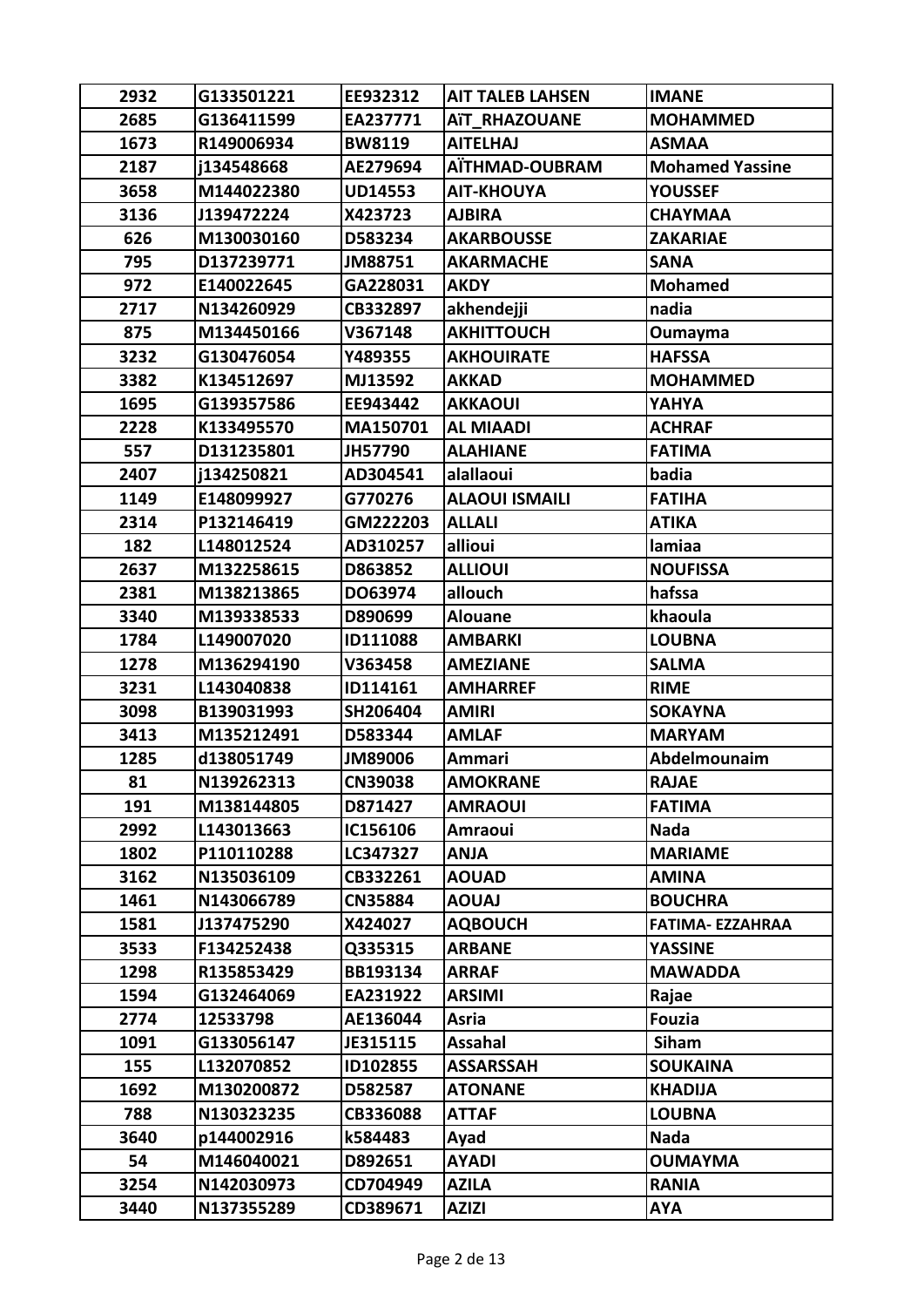| 2932 | G133501221 | EE932312       | <b>AIT TALEB LAHSEN</b> | <b>IMANE</b>           |
|------|------------|----------------|-------------------------|------------------------|
| 2685 | G136411599 | EA237771       | AÏT RHAZOUANE           | <b>MOHAMMED</b>        |
| 1673 | R149006934 | <b>BW8119</b>  | <b>AITELHAJ</b>         | <b>ASMAA</b>           |
| 2187 | j134548668 | AE279694       | AÏTHMAD-OUBRAM          | <b>Mohamed Yassine</b> |
| 3658 | M144022380 | <b>UD14553</b> | <b>AIT-KHOUYA</b>       | <b>YOUSSEF</b>         |
| 3136 | J139472224 | X423723        | <b>AJBIRA</b>           | <b>CHAYMAA</b>         |
| 626  | M130030160 | D583234        | <b>AKARBOUSSE</b>       | <b>ZAKARIAE</b>        |
| 795  | D137239771 | JM88751        | <b>AKARMACHE</b>        | <b>SANA</b>            |
| 972  | E140022645 | GA228031       | <b>AKDY</b>             | <b>Mohamed</b>         |
| 2717 | N134260929 | CB332897       | akhendejji              | nadia                  |
| 875  | M134450166 | V367148        | <b>AKHITTOUCH</b>       | Oumayma                |
| 3232 | G130476054 | Y489355        | <b>AKHOUIRATE</b>       | <b>HAFSSA</b>          |
| 3382 | K134512697 | MJ13592        | <b>AKKAD</b>            | <b>MOHAMMED</b>        |
| 1695 | G139357586 | EE943442       | <b>AKKAOUI</b>          | YAHYA                  |
| 2228 | K133495570 | MA150701       | <b>AL MIAADI</b>        | <b>ACHRAF</b>          |
| 557  | D131235801 | JH57790        | <b>ALAHIANE</b>         | <b>FATIMA</b>          |
| 2407 | j134250821 | AD304541       | alallaoui               | badia                  |
| 1149 | E148099927 | G770276        | <b>ALAOUI ISMAILI</b>   | <b>FATIHA</b>          |
| 2314 | P132146419 | GM222203       | <b>ALLALI</b>           | <b>ATIKA</b>           |
| 182  | L148012524 | AD310257       | allioui                 | lamiaa                 |
| 2637 | M132258615 | D863852        | <b>ALLIOUI</b>          | <b>NOUFISSA</b>        |
| 2381 | M138213865 | DO63974        | allouch                 | hafssa                 |
| 3340 | M139338533 | D890699        | <b>Alouane</b>          | khaoula                |
| 1784 | L149007020 | ID111088       | <b>AMBARKI</b>          | <b>LOUBNA</b>          |
| 1278 | M136294190 | V363458        | <b>AMEZIANE</b>         | <b>SALMA</b>           |
| 3231 | L143040838 | ID114161       | <b>AMHARREF</b>         | <b>RIME</b>            |
| 3098 | B139031993 | SH206404       | <b>AMIRI</b>            | <b>SOKAYNA</b>         |
| 3413 | M135212491 | D583344        | <b>AMLAF</b>            | <b>MARYAM</b>          |
| 1285 | d138051749 | JM89006        | Ammari                  | Abdelmounaim           |
| 81   | N139262313 | <b>CN39038</b> | <b>AMOKRANE</b>         | <b>RAJAE</b>           |
| 191  | M138144805 | D871427        | <b>AMRAOUI</b>          | <b>FATIMA</b>          |
| 2992 | L143013663 | IC156106       | Amraoui                 | <b>Nada</b>            |
| 1802 | P110110288 | LC347327       | <b>ANJA</b>             | <b>MARIAME</b>         |
| 3162 | N135036109 | CB332261       | <b>AOUAD</b>            | <b>AMINA</b>           |
| 1461 | N143066789 | <b>CN35884</b> | <b>AOUAJ</b>            | <b>BOUCHRA</b>         |
| 1581 | J137475290 | X424027        | <b>AQBOUCH</b>          | FATIMA- EZZAHRAA       |
| 3533 | F134252438 | Q335315        | <b>ARBANE</b>           | <b>YASSINE</b>         |
| 1298 | R135853429 | BB193134       | <b>ARRAF</b>            | <b>MAWADDA</b>         |
| 1594 | G132464069 | EA231922       | <b>ARSIMI</b>           | Rajae                  |
| 2774 | 12533798   | AE136044       | Asria                   | <b>Fouzia</b>          |
| 1091 | G133056147 | JE315115       | Assahal                 | <b>Siham</b>           |
| 155  | L132070852 | ID102855       | <b>ASSARSSAH</b>        | <b>SOUKAINA</b>        |
| 1692 | M130200872 | D582587        | <b>ATONANE</b>          | <b>KHADIJA</b>         |
| 788  | N130323235 | CB336088       | <b>ATTAF</b>            | <b>LOUBNA</b>          |
| 3640 | p144002916 | k584483        | Ayad                    | <b>Nada</b>            |
| 54   | M146040021 | D892651        | <b>AYADI</b>            | <b>OUMAYMA</b>         |
| 3254 | N142030973 | CD704949       | <b>AZILA</b>            | <b>RANIA</b>           |
| 3440 | N137355289 | CD389671       | <b>AZIZI</b>            | <b>AYA</b>             |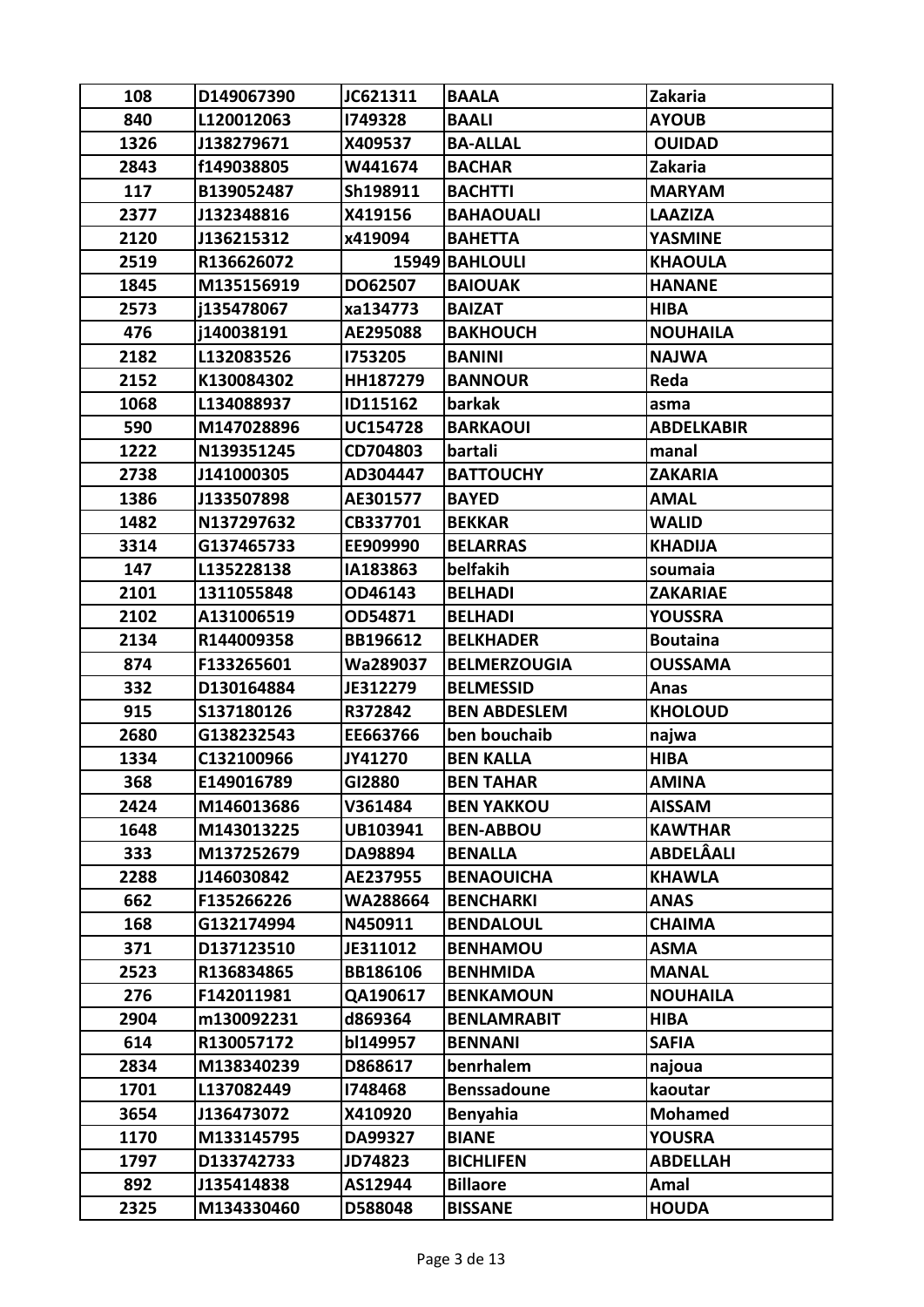| 108  | D149067390 | JC621311        | <b>BAALA</b>        | Zakaria           |
|------|------------|-----------------|---------------------|-------------------|
| 840  | L120012063 | 1749328         | <b>BAALI</b>        | <b>AYOUB</b>      |
| 1326 | J138279671 | X409537         | <b>BA-ALLAL</b>     | <b>OUIDAD</b>     |
| 2843 | f149038805 | W441674         | <b>BACHAR</b>       | Zakaria           |
| 117  | B139052487 | Sh198911        | <b>BACHTTI</b>      | <b>MARYAM</b>     |
| 2377 | J132348816 | X419156         | <b>BAHAOUALI</b>    | <b>LAAZIZA</b>    |
| 2120 | J136215312 | x419094         | <b>BAHETTA</b>      | <b>YASMINE</b>    |
| 2519 | R136626072 |                 | 15949 BAHLOULI      | <b>KHAOULA</b>    |
| 1845 | M135156919 | DO62507         | <b>BAIOUAK</b>      | <b>HANANE</b>     |
| 2573 | j135478067 | xa134773        | <b>BAIZAT</b>       | <b>HIBA</b>       |
| 476  | j140038191 | AE295088        | <b>BAKHOUCH</b>     | <b>NOUHAILA</b>   |
| 2182 | L132083526 | 1753205         | <b>BANINI</b>       | <b>NAJWA</b>      |
| 2152 | K130084302 | HH187279        | <b>BANNOUR</b>      | Reda              |
| 1068 | L134088937 | ID115162        | barkak              | asma              |
| 590  | M147028896 | <b>UC154728</b> | <b>BARKAOUI</b>     | <b>ABDELKABIR</b> |
| 1222 | N139351245 | CD704803        | bartali             | manal             |
| 2738 | J141000305 | AD304447        | <b>BATTOUCHY</b>    | <b>ZAKARIA</b>    |
| 1386 | J133507898 | AE301577        | <b>BAYED</b>        | <b>AMAL</b>       |
| 1482 | N137297632 | CB337701        | <b>BEKKAR</b>       | <b>WALID</b>      |
| 3314 | G137465733 | EE909990        | <b>BELARRAS</b>     | <b>KHADIJA</b>    |
| 147  | L135228138 | IA183863        | belfakih            | soumaia           |
| 2101 | 1311055848 | OD46143         | <b>BELHADI</b>      | <b>ZAKARIAE</b>   |
| 2102 | A131006519 | OD54871         | <b>BELHADI</b>      | <b>YOUSSRA</b>    |
| 2134 | R144009358 | BB196612        | <b>BELKHADER</b>    | <b>Boutaina</b>   |
| 874  | F133265601 | Wa289037        | <b>BELMERZOUGIA</b> | OUSSAMA           |
| 332  | D130164884 | JE312279        | <b>BELMESSID</b>    | Anas              |
| 915  | S137180126 | R372842         | <b>BEN ABDESLEM</b> | <b>KHOLOUD</b>    |
| 2680 | G138232543 | EE663766        | ben bouchaib        | najwa             |
| 1334 | C132100966 | JY41270         | <b>BEN KALLA</b>    | <b>HIBA</b>       |
| 368  | E149016789 | GI2880          | <b>BEN TAHAR</b>    | AMINA             |
| 2424 | M146013686 | V361484         | <b>BEN YAKKOU</b>   | <b>AISSAM</b>     |
| 1648 | M143013225 | UB103941        | <b>BEN-ABBOU</b>    | <b>KAWTHAR</b>    |
| 333  | M137252679 | DA98894         | <b>BENALLA</b>      | ABDELÂALI         |
| 2288 | J146030842 | AE237955        | <b>BENAOUICHA</b>   | <b>KHAWLA</b>     |
| 662  | F135266226 | WA288664        | <b>BENCHARKI</b>    | <b>ANAS</b>       |
| 168  | G132174994 | N450911         | <b>BENDALOUL</b>    | <b>CHAIMA</b>     |
| 371  | D137123510 | JE311012        | <b>BENHAMOU</b>     | <b>ASMA</b>       |
| 2523 | R136834865 | <b>BB186106</b> | <b>BENHMIDA</b>     | <b>MANAL</b>      |
| 276  | F142011981 | QA190617        | <b>BENKAMOUN</b>    | <b>NOUHAILA</b>   |
| 2904 | m130092231 | d869364         | <b>BENLAMRABIT</b>  | <b>HIBA</b>       |
| 614  | R130057172 | bl149957        | <b>BENNANI</b>      | <b>SAFIA</b>      |
| 2834 | M138340239 | D868617         | benrhalem           | najoua            |
| 1701 | L137082449 | 1748468         | <b>Benssadoune</b>  | kaoutar           |
| 3654 | J136473072 | X410920         | <b>Benyahia</b>     | <b>Mohamed</b>    |
| 1170 | M133145795 | DA99327         | <b>BIANE</b>        | <b>YOUSRA</b>     |
| 1797 | D133742733 | JD74823         | <b>BICHLIFEN</b>    | <b>ABDELLAH</b>   |
| 892  | J135414838 | AS12944         | <b>Billaore</b>     | Amal              |
| 2325 | M134330460 | D588048         | <b>BISSANE</b>      | <b>HOUDA</b>      |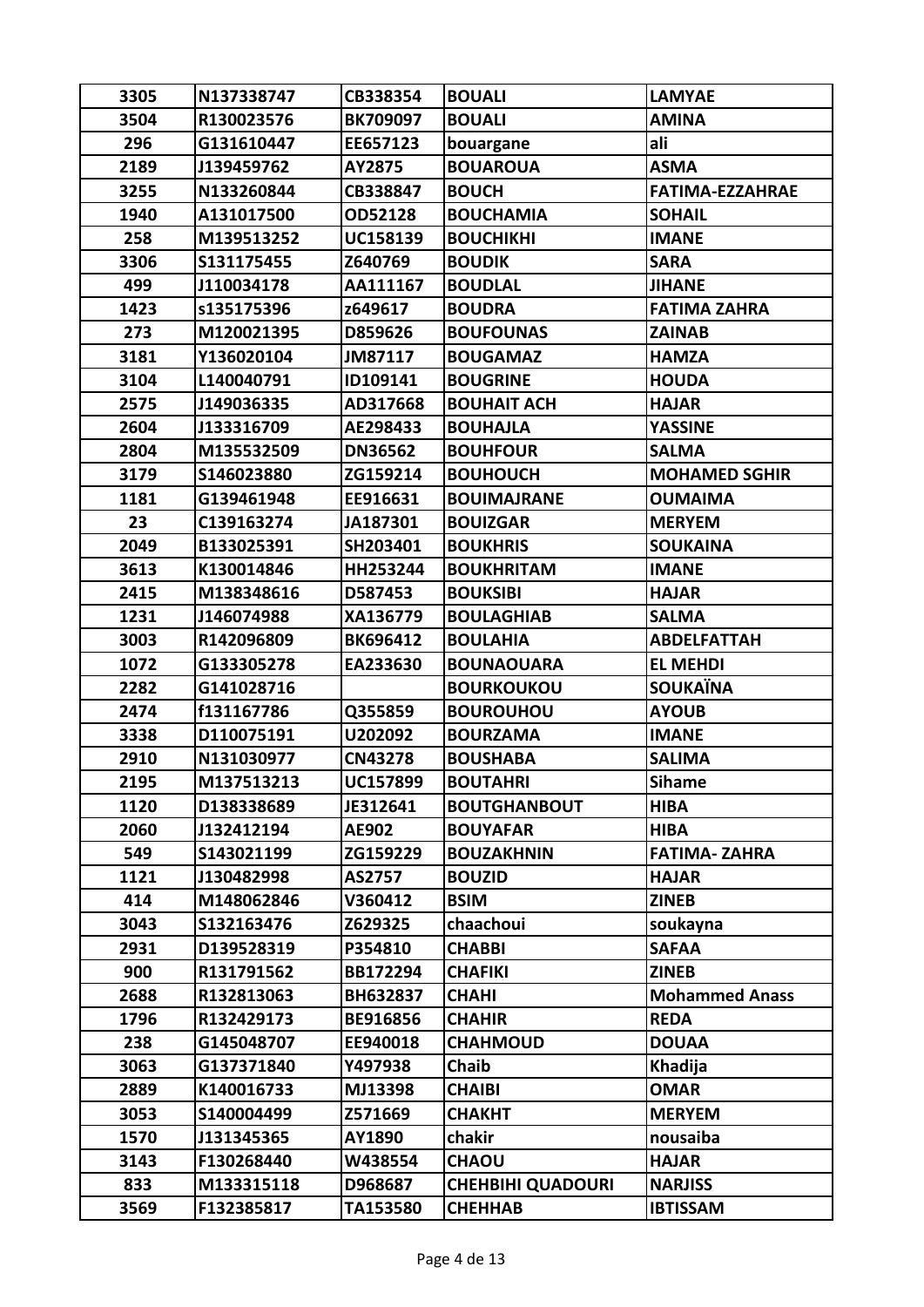| 3305 | N137338747 | CB338354        | <b>BOUALI</b>            | <b>LAMYAE</b>          |
|------|------------|-----------------|--------------------------|------------------------|
| 3504 | R130023576 | BK709097        | <b>BOUALI</b>            | <b>AMINA</b>           |
| 296  | G131610447 | EE657123        | bouargane                | ali                    |
| 2189 | J139459762 | AY2875          | <b>BOUAROUA</b>          | <b>ASMA</b>            |
| 3255 | N133260844 | CB338847        | <b>BOUCH</b>             | <b>FATIMA-EZZAHRAE</b> |
| 1940 | A131017500 | OD52128         | <b>BOUCHAMIA</b>         | <b>SOHAIL</b>          |
| 258  | M139513252 | UC158139        | <b>BOUCHIKHI</b>         | <b>IMANE</b>           |
| 3306 | S131175455 | Z640769         | <b>BOUDIK</b>            | <b>SARA</b>            |
| 499  | J110034178 | AA111167        | <b>BOUDLAL</b>           | <b>JIHANE</b>          |
| 1423 | s135175396 | z649617         | <b>BOUDRA</b>            | <b>FATIMA ZAHRA</b>    |
| 273  | M120021395 | D859626         | <b>BOUFOUNAS</b>         | <b>ZAINAB</b>          |
| 3181 | Y136020104 | JM87117         | <b>BOUGAMAZ</b>          | <b>HAMZA</b>           |
| 3104 | L140040791 | ID109141        | <b>BOUGRINE</b>          | <b>HOUDA</b>           |
| 2575 | J149036335 | AD317668        | <b>BOUHAIT ACH</b>       | <b>HAJAR</b>           |
| 2604 | J133316709 | AE298433        | <b>BOUHAJLA</b>          | <b>YASSINE</b>         |
| 2804 | M135532509 | <b>DN36562</b>  | <b>BOUHFOUR</b>          | <b>SALMA</b>           |
| 3179 | S146023880 | ZG159214        | <b>BOUHOUCH</b>          | <b>MOHAMED SGHIR</b>   |
| 1181 | G139461948 | EE916631        | <b>BOUIMAJRANE</b>       | <b>OUMAIMA</b>         |
| 23   | C139163274 | JA187301        | <b>BOUIZGAR</b>          | <b>MERYEM</b>          |
| 2049 | B133025391 | SH203401        | <b>BOUKHRIS</b>          | <b>SOUKAINA</b>        |
| 3613 | K130014846 | HH253244        | <b>BOUKHRITAM</b>        | <b>IMANE</b>           |
| 2415 | M138348616 | D587453         | <b>BOUKSIBI</b>          | <b>HAJAR</b>           |
| 1231 | J146074988 | XA136779        | <b>BOULAGHIAB</b>        | <b>SALMA</b>           |
| 3003 | R142096809 | BK696412        | <b>BOULAHIA</b>          | <b>ABDELFATTAH</b>     |
| 1072 | G133305278 | EA233630        | <b>BOUNAOUARA</b>        | <b>EL MEHDI</b>        |
| 2282 | G141028716 |                 | <b>BOURKOUKOU</b>        | <b>SOUKAINA</b>        |
| 2474 | f131167786 | Q355859         | <b>BOUROUHOU</b>         | <b>AYOUB</b>           |
| 3338 | D110075191 | U202092         | <b>BOURZAMA</b>          | <b>IMANE</b>           |
| 2910 | N131030977 | <b>CN43278</b>  | <b>BOUSHABA</b>          | <b>SALIMA</b>          |
| 2195 | M137513213 | <b>UC157899</b> | <b>BOUTAHRI</b>          | <b>Sihame</b>          |
| 1120 | D138338689 | JE312641        | <b>BOUTGHANBOUT</b>      | <b>HIBA</b>            |
| 2060 | J132412194 | AE902           | <b>BOUYAFAR</b>          | <b>HIBA</b>            |
| 549  | S143021199 | ZG159229        | <b>BOUZAKHNIN</b>        | <b>FATIMA-ZAHRA</b>    |
| 1121 | J130482998 | AS2757          | <b>BOUZID</b>            | <b>HAJAR</b>           |
| 414  | M148062846 | V360412         | <b>BSIM</b>              | <b>ZINEB</b>           |
| 3043 | S132163476 | Z629325         | chaachoui                | soukayna               |
| 2931 | D139528319 | P354810         | <b>CHABBI</b>            | <b>SAFAA</b>           |
| 900  | R131791562 | BB172294        | <b>CHAFIKI</b>           | <b>ZINEB</b>           |
| 2688 | R132813063 | BH632837        | <b>CHAHI</b>             | <b>Mohammed Anass</b>  |
| 1796 | R132429173 | <b>BE916856</b> | <b>CHAHIR</b>            | <b>REDA</b>            |
| 238  | G145048707 | EE940018        | <b>CHAHMOUD</b>          | <b>DOUAA</b>           |
| 3063 | G137371840 | Y497938         | <b>Chaib</b>             | Khadija                |
| 2889 | K140016733 | MJ13398         | <b>CHAIBI</b>            | <b>OMAR</b>            |
| 3053 | S140004499 | Z571669         | <b>CHAKHT</b>            | <b>MERYEM</b>          |
| 1570 | J131345365 | AY1890          | chakir                   | nousaiba               |
| 3143 | F130268440 | W438554         | <b>CHAOU</b>             | <b>HAJAR</b>           |
| 833  | M133315118 | D968687         | <b>CHEHBIHI QUADOURI</b> | <b>NARJISS</b>         |
| 3569 | F132385817 | TA153580        | <b>CHEHHAB</b>           | <b>IBTISSAM</b>        |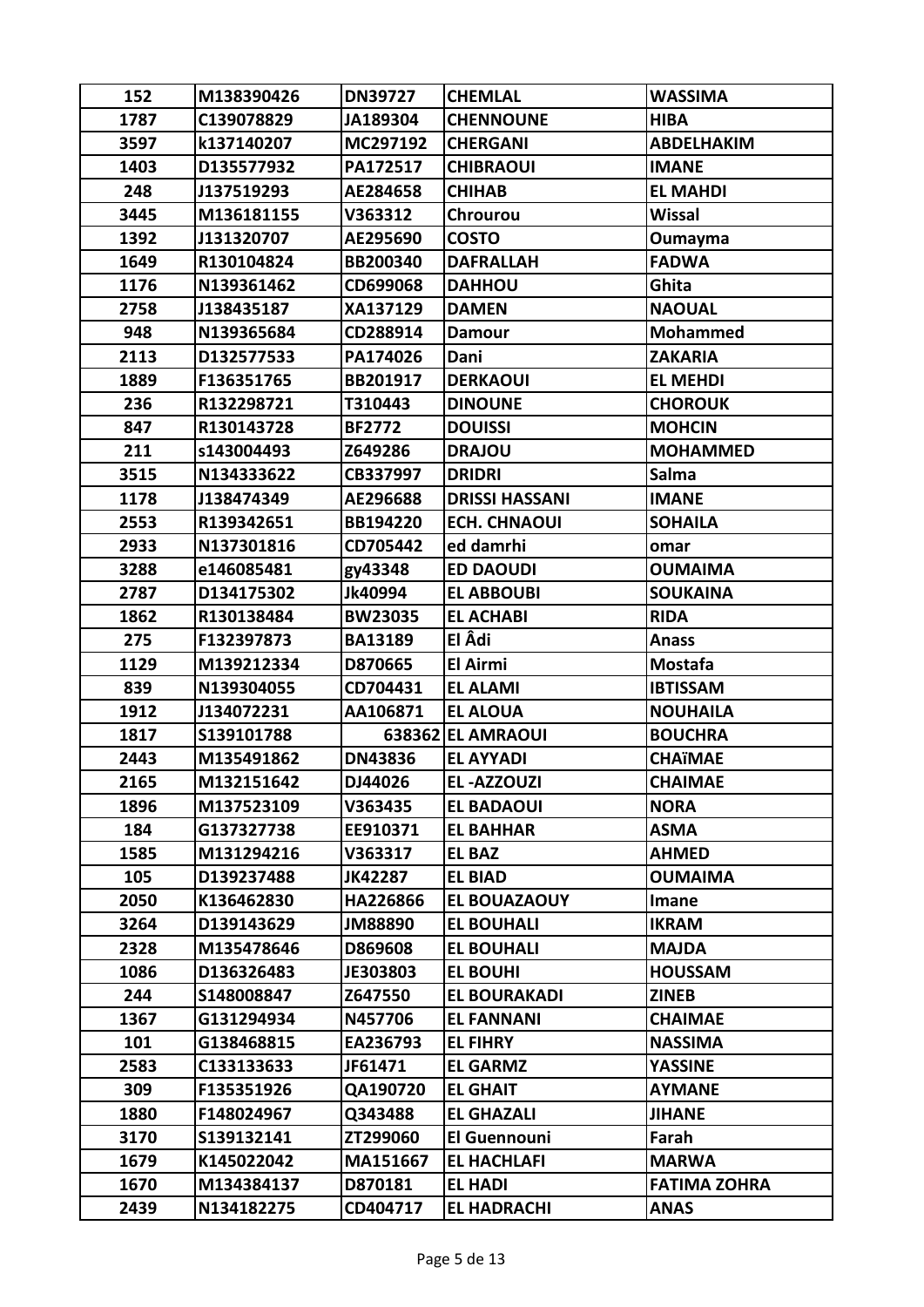| 152  | M138390426 | <b>DN39727</b> | <b>CHEMLAL</b>        | <b>WASSIMA</b>      |
|------|------------|----------------|-----------------------|---------------------|
| 1787 | C139078829 | JA189304       | <b>CHENNOUNE</b>      | <b>HIBA</b>         |
| 3597 | k137140207 | MC297192       | <b>CHERGANI</b>       | <b>ABDELHAKIM</b>   |
| 1403 | D135577932 | PA172517       | <b>CHIBRAOUI</b>      | <b>IMANE</b>        |
| 248  | J137519293 | AE284658       | <b>CHIHAB</b>         | <b>EL MAHDI</b>     |
| 3445 | M136181155 | V363312        | Chrourou              | <b>Wissal</b>       |
| 1392 | J131320707 | AE295690       | <b>COSTO</b>          | Oumayma             |
| 1649 | R130104824 | BB200340       | <b>DAFRALLAH</b>      | <b>FADWA</b>        |
| 1176 | N139361462 | CD699068       | <b>DAHHOU</b>         | Ghita               |
| 2758 | J138435187 | XA137129       | <b>DAMEN</b>          | <b>NAOUAL</b>       |
| 948  | N139365684 | CD288914       | <b>Damour</b>         | <b>Mohammed</b>     |
| 2113 | D132577533 | PA174026       | Dani                  | <b>ZAKARIA</b>      |
| 1889 | F136351765 | BB201917       | <b>DERKAOUI</b>       | <b>EL MEHDI</b>     |
| 236  | R132298721 | T310443        | <b>DINOUNE</b>        | <b>CHOROUK</b>      |
| 847  | R130143728 | <b>BF2772</b>  | <b>DOUISSI</b>        | <b>MOHCIN</b>       |
| 211  | s143004493 | Z649286        | <b>DRAJOU</b>         | <b>MOHAMMED</b>     |
| 3515 | N134333622 | CB337997       | <b>DRIDRI</b>         | Salma               |
| 1178 | J138474349 | AE296688       | <b>DRISSI HASSANI</b> | <b>IMANE</b>        |
| 2553 | R139342651 | BB194220       | <b>ECH. CHNAOUI</b>   | <b>SOHAILA</b>      |
| 2933 | N137301816 | CD705442       | ed damrhi             | omar                |
| 3288 | e146085481 | gy43348        | <b>ED DAOUDI</b>      | <b>OUMAIMA</b>      |
| 2787 | D134175302 | Jk40994        | <b>EL ABBOUBI</b>     | <b>SOUKAINA</b>     |
| 1862 | R130138484 | <b>BW23035</b> | <b>EL ACHABI</b>      | <b>RIDA</b>         |
| 275  | F132397873 | <b>BA13189</b> | El Âdi                | <b>Anass</b>        |
| 1129 | M139212334 | D870665        | El Airmi              | <b>Mostafa</b>      |
| 839  | N139304055 | CD704431       | <b>EL ALAMI</b>       | <b>IBTISSAM</b>     |
| 1912 | J134072231 | AA106871       | <b>EL ALOUA</b>       | <b>NOUHAILA</b>     |
| 1817 | S139101788 | 638362         | <b>EL AMRAOUI</b>     | <b>BOUCHRA</b>      |
| 2443 | M135491862 | <b>DN43836</b> | <b>EL AYYADI</b>      | <b>CHAïMAE</b>      |
| 2165 | M132151642 | DJ44026        | <b>EL-AZZOUZI</b>     | <b>CHAIMAE</b>      |
| 1896 | M137523109 | V363435        | <b>EL BADAOUI</b>     | <b>NORA</b>         |
| 184  | G137327738 | EE910371       | <b>EL BAHHAR</b>      | <b>ASMA</b>         |
| 1585 | M131294216 | V363317        | <b>EL BAZ</b>         | <b>AHMED</b>        |
| 105  | D139237488 | JK42287        | <b>EL BIAD</b>        | <b>OUMAIMA</b>      |
| 2050 | K136462830 | HA226866       | <b>EL BOUAZAOUY</b>   | Imane               |
| 3264 | D139143629 | <b>JM88890</b> | <b>EL BOUHALI</b>     | <b>IKRAM</b>        |
| 2328 | M135478646 | D869608        | <b>EL BOUHALI</b>     | <b>MAJDA</b>        |
| 1086 | D136326483 | JE303803       | <b>EL BOUHI</b>       | <b>HOUSSAM</b>      |
| 244  | S148008847 | Z647550        | <b>EL BOURAKADI</b>   | <b>ZINEB</b>        |
| 1367 | G131294934 | N457706        | <b>EL FANNANI</b>     | <b>CHAIMAE</b>      |
| 101  | G138468815 | EA236793       | <b>EL FIHRY</b>       | <b>NASSIMA</b>      |
| 2583 | C133133633 | JF61471        | <b>EL GARMZ</b>       | <b>YASSINE</b>      |
| 309  | F135351926 | QA190720       | <b>EL GHAIT</b>       | <b>AYMANE</b>       |
| 1880 | F148024967 | Q343488        | <b>EL GHAZALI</b>     | <b>JIHANE</b>       |
| 3170 | S139132141 | ZT299060       | El Guennouni          | Farah               |
| 1679 | K145022042 | MA151667       | <b>EL HACHLAFI</b>    | <b>MARWA</b>        |
| 1670 | M134384137 | D870181        | <b>EL HADI</b>        | <b>FATIMA ZOHRA</b> |
| 2439 | N134182275 | CD404717       | <b>EL HADRACHI</b>    | <b>ANAS</b>         |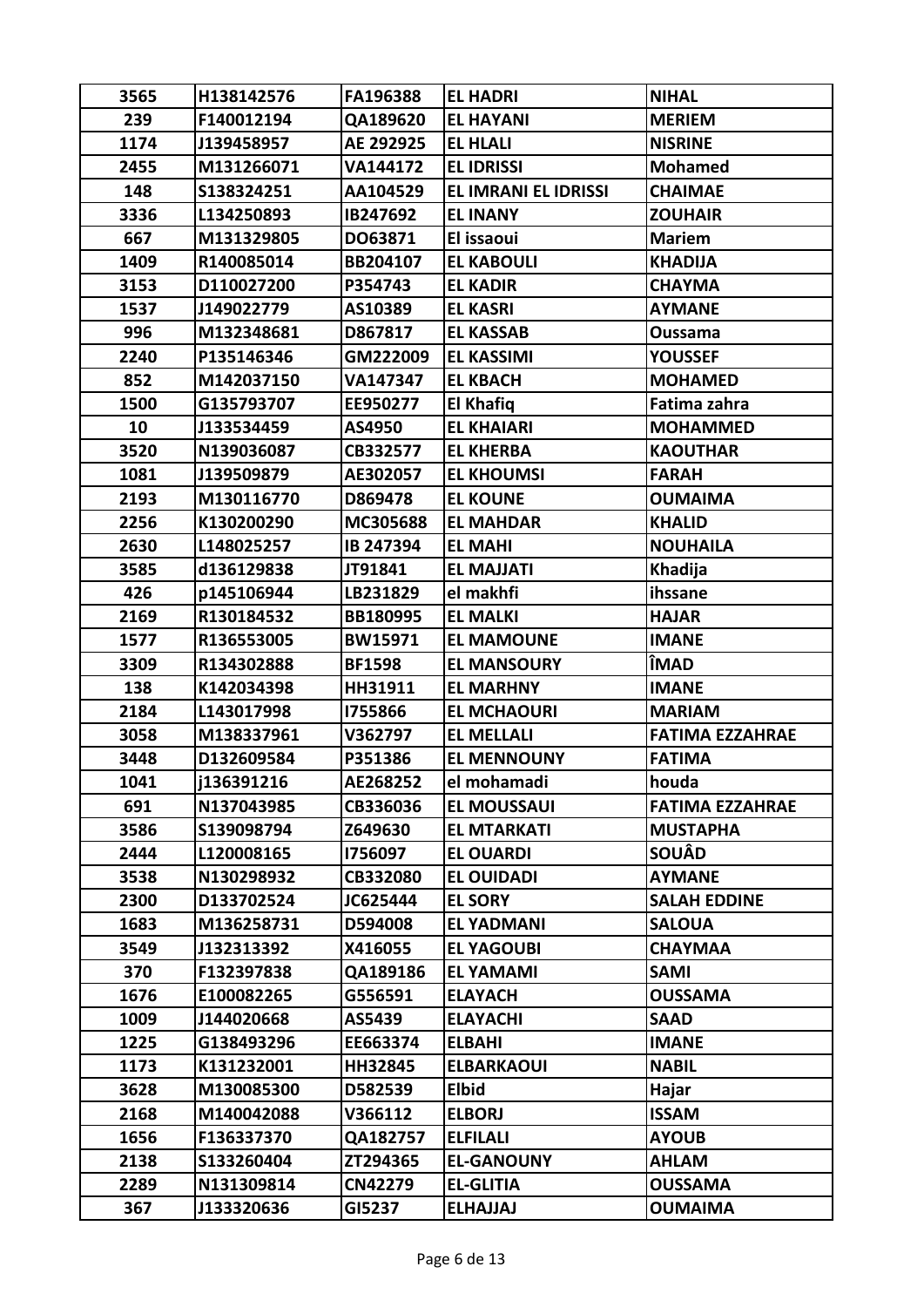| 3565 | H138142576 | FA196388        | <b>EL HADRI</b>             | <b>NIHAL</b>           |
|------|------------|-----------------|-----------------------------|------------------------|
| 239  | F140012194 | QA189620        | <b>EL HAYANI</b>            | <b>MERIEM</b>          |
| 1174 | J139458957 | AE 292925       | <b>EL HLALI</b>             | <b>NISRINE</b>         |
| 2455 | M131266071 | VA144172        | <b>EL IDRISSI</b>           | <b>Mohamed</b>         |
| 148  | S138324251 | AA104529        | <b>EL IMRANI EL IDRISSI</b> | <b>CHAIMAE</b>         |
| 3336 | L134250893 | IB247692        | <b>EL INANY</b>             | <b>ZOUHAIR</b>         |
| 667  | M131329805 | DO63871         | El issaoui                  | <b>Mariem</b>          |
| 1409 | R140085014 | BB204107        | <b>EL KABOULI</b>           | <b>KHADIJA</b>         |
| 3153 | D110027200 | P354743         | <b>EL KADIR</b>             | <b>CHAYMA</b>          |
| 1537 | J149022779 | AS10389         | <b>EL KASRI</b>             | <b>AYMANE</b>          |
| 996  | M132348681 | D867817         | <b>EL KASSAB</b>            | Oussama                |
| 2240 | P135146346 | GM222009        | <b>EL KASSIMI</b>           | <b>YOUSSEF</b>         |
| 852  | M142037150 | <b>VA147347</b> | <b>EL KBACH</b>             | <b>MOHAMED</b>         |
| 1500 | G135793707 | EE950277        | <b>El Khafiq</b>            | Fatima zahra           |
| 10   | J133534459 | AS4950          | <b>EL KHAIARI</b>           | <b>MOHAMMED</b>        |
| 3520 | N139036087 | CB332577        | <b>EL KHERBA</b>            | <b>KAOUTHAR</b>        |
| 1081 | J139509879 | AE302057        | <b>EL KHOUMSI</b>           | <b>FARAH</b>           |
| 2193 | M130116770 | D869478         | <b>EL KOUNE</b>             | <b>OUMAIMA</b>         |
| 2256 | K130200290 | MC305688        | <b>EL MAHDAR</b>            | <b>KHALID</b>          |
| 2630 | L148025257 | IB 247394       | <b>EL MAHI</b>              | <b>NOUHAILA</b>        |
| 3585 | d136129838 | JT91841         | <b>EL MAJJATI</b>           | Khadija                |
| 426  | p145106944 | LB231829        | el makhfi                   | ihssane                |
| 2169 | R130184532 | BB180995        | <b>EL MALKI</b>             | <b>HAJAR</b>           |
| 1577 | R136553005 | <b>BW15971</b>  | <b>EL MAMOUNE</b>           | <b>IMANE</b>           |
| 3309 | R134302888 | <b>BF1598</b>   | <b>EL MANSOURY</b>          | ÎMAD                   |
| 138  | K142034398 | HH31911         | <b>EL MARHNY</b>            | <b>IMANE</b>           |
| 2184 | L143017998 | 1755866         | <b>EL MCHAOURI</b>          | <b>MARIAM</b>          |
| 3058 | M138337961 | V362797         | <b>EL MELLALI</b>           | <b>FATIMA EZZAHRAE</b> |
| 3448 | D132609584 | P351386         | <b>EL MENNOUNY</b>          | <b>FATIMA</b>          |
| 1041 | i136391216 | AE268252        | el mohamadi                 | houda                  |
| 691  | N137043985 | CB336036        | <b>EL MOUSSAUI</b>          | <b>FATIMA EZZAHRAE</b> |
| 3586 | S139098794 | Z649630         | <b>EL MTARKATI</b>          | <b>MUSTAPHA</b>        |
| 2444 | L120008165 | 1756097         | <b>EL OUARDI</b>            | <b>SOUÂD</b>           |
| 3538 | N130298932 | CB332080        | <b>EL OUIDADI</b>           | <b>AYMANE</b>          |
| 2300 | D133702524 | JC625444        | <b>EL SORY</b>              | <b>SALAH EDDINE</b>    |
| 1683 | M136258731 | D594008         | <b>EL YADMANI</b>           | <b>SALOUA</b>          |
| 3549 | J132313392 | X416055         | <b>EL YAGOUBI</b>           | <b>CHAYMAA</b>         |
| 370  | F132397838 | QA189186        | <b>EL YAMAMI</b>            | <b>SAMI</b>            |
| 1676 | E100082265 | G556591         | <b>ELAYACH</b>              | <b>OUSSAMA</b>         |
| 1009 | J144020668 | AS5439          | <b>ELAYACHI</b>             | <b>SAAD</b>            |
| 1225 | G138493296 | EE663374        | <b>ELBAHI</b>               | <b>IMANE</b>           |
| 1173 | K131232001 | HH32845         | <b>ELBARKAOUI</b>           | <b>NABIL</b>           |
| 3628 | M130085300 | D582539         | <b>Elbid</b>                | Hajar                  |
| 2168 | M140042088 | V366112         | <b>ELBORJ</b>               | <b>ISSAM</b>           |
| 1656 | F136337370 | QA182757        | <b>ELFILALI</b>             | <b>AYOUB</b>           |
| 2138 | S133260404 | ZT294365        | <b>EL-GANOUNY</b>           | <b>AHLAM</b>           |
| 2289 | N131309814 | <b>CN42279</b>  | <b>EL-GLITIA</b>            | <b>OUSSAMA</b>         |
| 367  | J133320636 | GI5237          | <b>ELHAJJAJ</b>             | <b>OUMAIMA</b>         |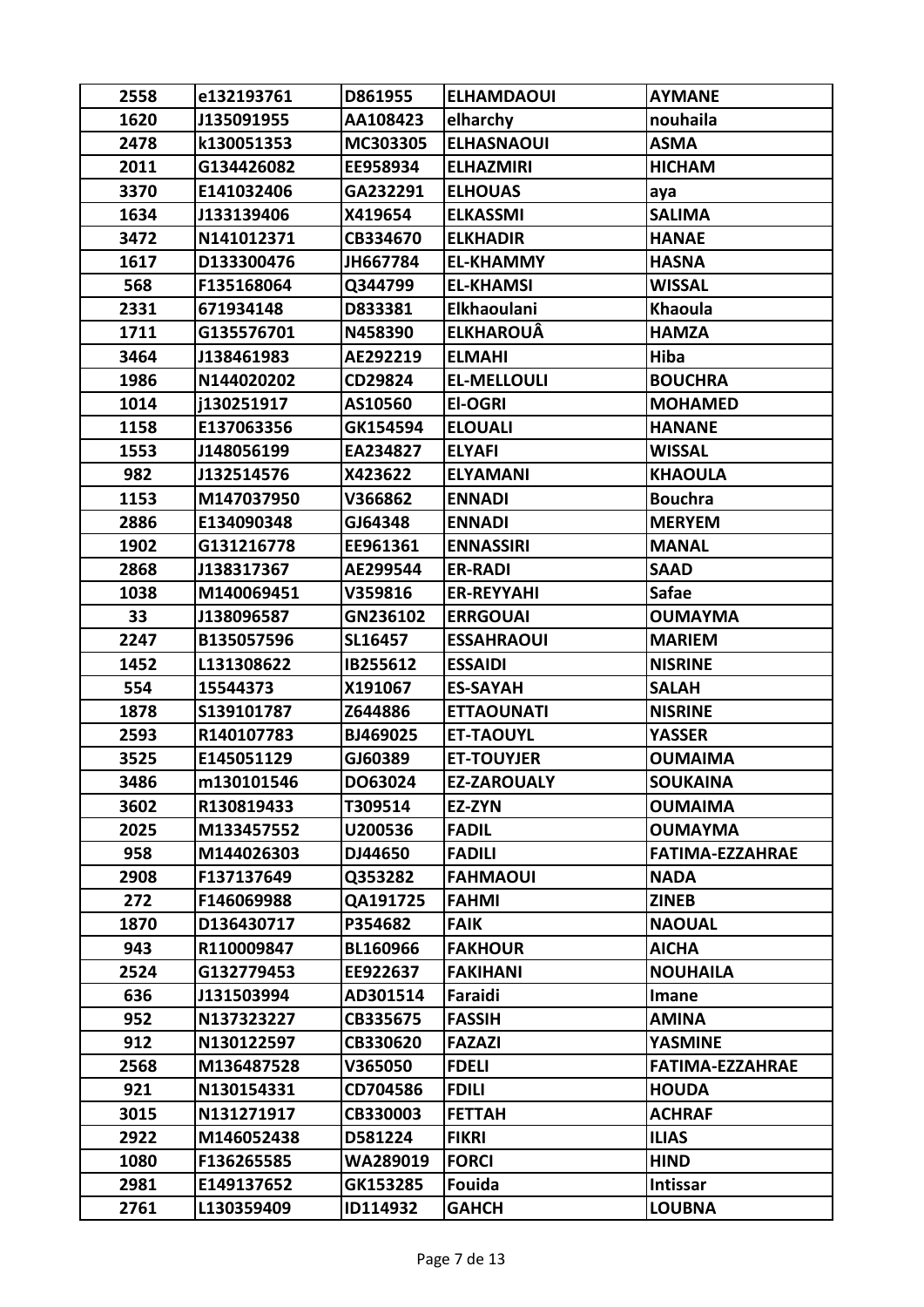| 2558 | e132193761 | D861955        | <b>ELHAMDAOUI</b>  | <b>AYMANE</b>          |
|------|------------|----------------|--------------------|------------------------|
| 1620 | J135091955 | AA108423       | elharchy           | nouhaila               |
| 2478 | k130051353 | MC303305       | <b>ELHASNAOUI</b>  | <b>ASMA</b>            |
| 2011 | G134426082 | EE958934       | <b>ELHAZMIRI</b>   | <b>HICHAM</b>          |
| 3370 | E141032406 | GA232291       | <b>ELHOUAS</b>     | aya                    |
| 1634 | J133139406 | X419654        | <b>ELKASSMI</b>    | <b>SALIMA</b>          |
| 3472 | N141012371 | CB334670       | <b>ELKHADIR</b>    | <b>HANAE</b>           |
| 1617 | D133300476 | JH667784       | <b>EL-KHAMMY</b>   | <b>HASNA</b>           |
| 568  | F135168064 | Q344799        | <b>EL-KHAMSI</b>   | <b>WISSAL</b>          |
| 2331 | 671934148  | D833381        | <b>Elkhaoulani</b> | Khaoula                |
| 1711 | G135576701 | N458390        | <b>ELKHAROUÂ</b>   | <b>HAMZA</b>           |
| 3464 | J138461983 | AE292219       | <b>ELMAHI</b>      | Hiba                   |
| 1986 | N144020202 | CD29824        | <b>EL-MELLOULI</b> | <b>BOUCHRA</b>         |
| 1014 | j130251917 | AS10560        | <b>El-OGRI</b>     | <b>MOHAMED</b>         |
| 1158 | E137063356 | GK154594       | <b>ELOUALI</b>     | <b>HANANE</b>          |
| 1553 | J148056199 | EA234827       | <b>ELYAFI</b>      | <b>WISSAL</b>          |
| 982  | J132514576 | X423622        | <b>ELYAMANI</b>    | <b>KHAOULA</b>         |
| 1153 | M147037950 | V366862        | <b>ENNADI</b>      | <b>Bouchra</b>         |
| 2886 | E134090348 | GJ64348        | <b>ENNADI</b>      | <b>MERYEM</b>          |
| 1902 | G131216778 | EE961361       | <b>ENNASSIRI</b>   | <b>MANAL</b>           |
| 2868 | J138317367 | AE299544       | <b>ER-RADI</b>     | <b>SAAD</b>            |
| 1038 | M140069451 | V359816        | <b>ER-REYYAHI</b>  | <b>Safae</b>           |
| 33   | J138096587 | GN236102       | <b>ERRGOUAI</b>    | <b>OUMAYMA</b>         |
| 2247 | B135057596 | SL16457        | <b>ESSAHRAOUI</b>  | <b>MARIEM</b>          |
| 1452 | L131308622 | IB255612       | <b>ESSAIDI</b>     | <b>NISRINE</b>         |
| 554  | 15544373   | X191067        | <b>ES-SAYAH</b>    | <b>SALAH</b>           |
| 1878 | S139101787 | Z644886        | <b>ETTAOUNATI</b>  | <b>NISRINE</b>         |
| 2593 | R140107783 | BJ469025       | <b>ET-TAOUYL</b>   | <b>YASSER</b>          |
| 3525 | E145051129 | GJ60389        | <b>ET-TOUYJER</b>  | <b>OUMAIMA</b>         |
| 3486 | m130101546 | <b>DO63024</b> | <b>EZ-ZAROUALY</b> | <b>SOUKAINA</b>        |
| 3602 | R130819433 | T309514        | EZ-ZYN             | <b>OUMAIMA</b>         |
| 2025 | M133457552 | U200536        | <b>FADIL</b>       | <b>OUMAYMA</b>         |
| 958  | M144026303 | DJ44650        | <b>FADILI</b>      | <b>FATIMA-EZZAHRAE</b> |
| 2908 | F137137649 | Q353282        | <b>FAHMAOUI</b>    | <b>NADA</b>            |
| 272  | F146069988 | QA191725       | <b>FAHMI</b>       | <b>ZINEB</b>           |
| 1870 | D136430717 | P354682        | <b>FAIK</b>        | <b>NAOUAL</b>          |
| 943  | R110009847 | BL160966       | <b>FAKHOUR</b>     | <b>AICHA</b>           |
| 2524 | G132779453 | EE922637       | <b>FAKIHANI</b>    | <b>NOUHAILA</b>        |
| 636  | J131503994 | AD301514       | Faraidi            | Imane                  |
| 952  | N137323227 | CB335675       | <b>FASSIH</b>      | <b>AMINA</b>           |
| 912  | N130122597 | CB330620       | <b>FAZAZI</b>      | <b>YASMINE</b>         |
| 2568 | M136487528 | V365050        | <b>FDELI</b>       | <b>FATIMA-EZZAHRAE</b> |
| 921  | N130154331 | CD704586       | <b>FDILI</b>       | <b>HOUDA</b>           |
| 3015 | N131271917 | CB330003       | <b>FETTAH</b>      | <b>ACHRAF</b>          |
| 2922 | M146052438 | D581224        | <b>FIKRI</b>       | <b>ILIAS</b>           |
| 1080 | F136265585 | WA289019       | <b>FORCI</b>       | <b>HIND</b>            |
| 2981 | E149137652 | GK153285       | Fouida             | <b>Intissar</b>        |
| 2761 | L130359409 | ID114932       | <b>GAHCH</b>       | <b>LOUBNA</b>          |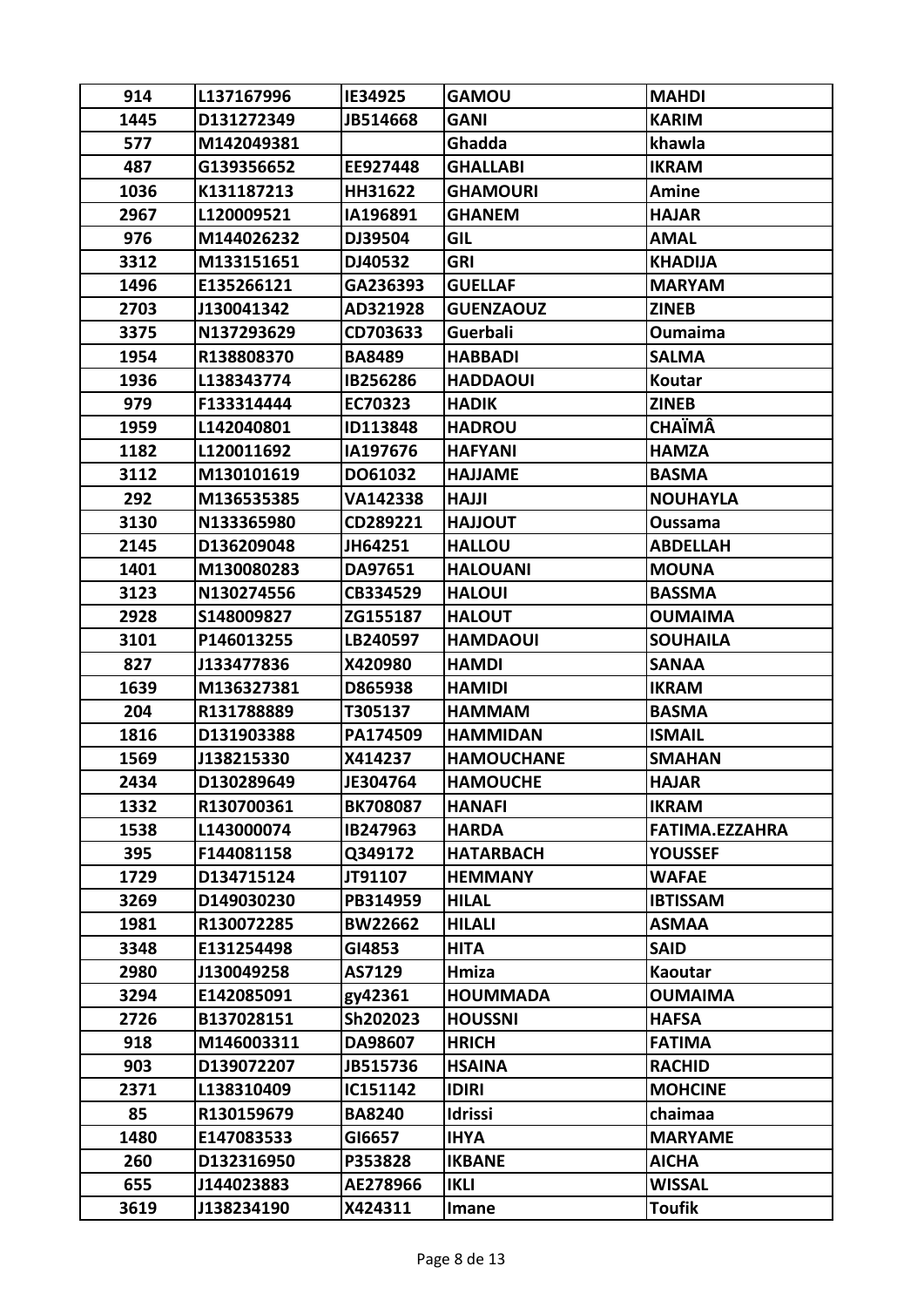| 914  | L137167996 | IE34925         | <b>GAMOU</b>      | <b>MAHDI</b>          |
|------|------------|-----------------|-------------------|-----------------------|
| 1445 | D131272349 | JB514668        | <b>GANI</b>       | <b>KARIM</b>          |
| 577  | M142049381 |                 | Ghadda            | khawla                |
| 487  | G139356652 | EE927448        | <b>GHALLABI</b>   | <b>IKRAM</b>          |
| 1036 | K131187213 | HH31622         | <b>GHAMOURI</b>   | <b>Amine</b>          |
| 2967 | L120009521 | IA196891        | <b>GHANEM</b>     | <b>HAJAR</b>          |
| 976  | M144026232 | DJ39504         | <b>GIL</b>        | <b>AMAL</b>           |
| 3312 | M133151651 | DJ40532         | <b>GRI</b>        | <b>KHADIJA</b>        |
| 1496 | E135266121 | GA236393        | <b>GUELLAF</b>    | <b>MARYAM</b>         |
| 2703 | J130041342 | AD321928        | <b>GUENZAOUZ</b>  | <b>ZINEB</b>          |
| 3375 | N137293629 | CD703633        | Guerbali          | Oumaima               |
| 1954 | R138808370 | <b>BA8489</b>   | <b>HABBADI</b>    | <b>SALMA</b>          |
| 1936 | L138343774 | IB256286        | <b>HADDAOUI</b>   | Koutar                |
| 979  | F133314444 | EC70323         | <b>HADIK</b>      | <b>ZINEB</b>          |
| 1959 | L142040801 | ID113848        | <b>HADROU</b>     | <b>CHAIMÂ</b>         |
| 1182 | L120011692 | IA197676        | <b>HAFYANI</b>    | <b>HAMZA</b>          |
| 3112 | M130101619 | DO61032         | <b>HAJJAME</b>    | <b>BASMA</b>          |
| 292  | M136535385 | VA142338        | <b>HAJJI</b>      | <b>NOUHAYLA</b>       |
| 3130 | N133365980 | CD289221        | <b>HAJJOUT</b>    | Oussama               |
| 2145 | D136209048 | JH64251         | <b>HALLOU</b>     | <b>ABDELLAH</b>       |
| 1401 | M130080283 | DA97651         | <b>HALOUANI</b>   | <b>MOUNA</b>          |
| 3123 | N130274556 | CB334529        | <b>HALOUI</b>     | <b>BASSMA</b>         |
| 2928 | S148009827 | ZG155187        | <b>HALOUT</b>     | <b>OUMAIMA</b>        |
| 3101 | P146013255 | LB240597        | <b>HAMDAOUI</b>   | <b>SOUHAILA</b>       |
| 827  | J133477836 | X420980         | <b>HAMDI</b>      | <b>SANAA</b>          |
| 1639 | M136327381 | D865938         | <b>HAMIDI</b>     | <b>IKRAM</b>          |
| 204  | R131788889 | T305137         | <b>HAMMAM</b>     | <b>BASMA</b>          |
| 1816 | D131903388 | PA174509        | <b>HAMMIDAN</b>   | <b>ISMAIL</b>         |
| 1569 | J138215330 | X414237         | <b>HAMOUCHANE</b> | <b>SMAHAN</b>         |
| 2434 | D130289649 | JE304764        | <b>HAMOUCHE</b>   | <b>HAJAR</b>          |
| 1332 | R130700361 | <b>BK708087</b> | <b>HANAFI</b>     | <b>IKRAM</b>          |
| 1538 | L143000074 | IB247963        | <b>HARDA</b>      | <b>FATIMA.EZZAHRA</b> |
| 395  | F144081158 | Q349172         | <b>HATARBACH</b>  | <b>YOUSSEF</b>        |
| 1729 | D134715124 | JT91107         | <b>HEMMANY</b>    | <b>WAFAE</b>          |
| 3269 | D149030230 | PB314959        | <b>HILAL</b>      | <b>IBTISSAM</b>       |
| 1981 | R130072285 | <b>BW22662</b>  | <b>HILALI</b>     | <b>ASMAA</b>          |
| 3348 | E131254498 | GI4853          | <b>HITA</b>       | <b>SAID</b>           |
| 2980 | J130049258 | AS7129          | Hmiza             | Kaoutar               |
| 3294 | E142085091 | gy42361         | <b>HOUMMADA</b>   | <b>OUMAIMA</b>        |
| 2726 | B137028151 | Sh202023        | <b>HOUSSNI</b>    | <b>HAFSA</b>          |
| 918  | M146003311 | DA98607         | <b>HRICH</b>      | <b>FATIMA</b>         |
| 903  | D139072207 | JB515736        | <b>HSAINA</b>     | <b>RACHID</b>         |
| 2371 | L138310409 | IC151142        | <b>IDIRI</b>      | <b>MOHCINE</b>        |
| 85   | R130159679 | <b>BA8240</b>   | <b>Idrissi</b>    | chaimaa               |
| 1480 | E147083533 | GI6657          | <b>IHYA</b>       | <b>MARYAME</b>        |
| 260  | D132316950 | P353828         | <b>IKBANE</b>     | <b>AICHA</b>          |
| 655  | J144023883 | AE278966        | IKLI              | <b>WISSAL</b>         |
| 3619 | J138234190 | X424311         | Imane             | <b>Toufik</b>         |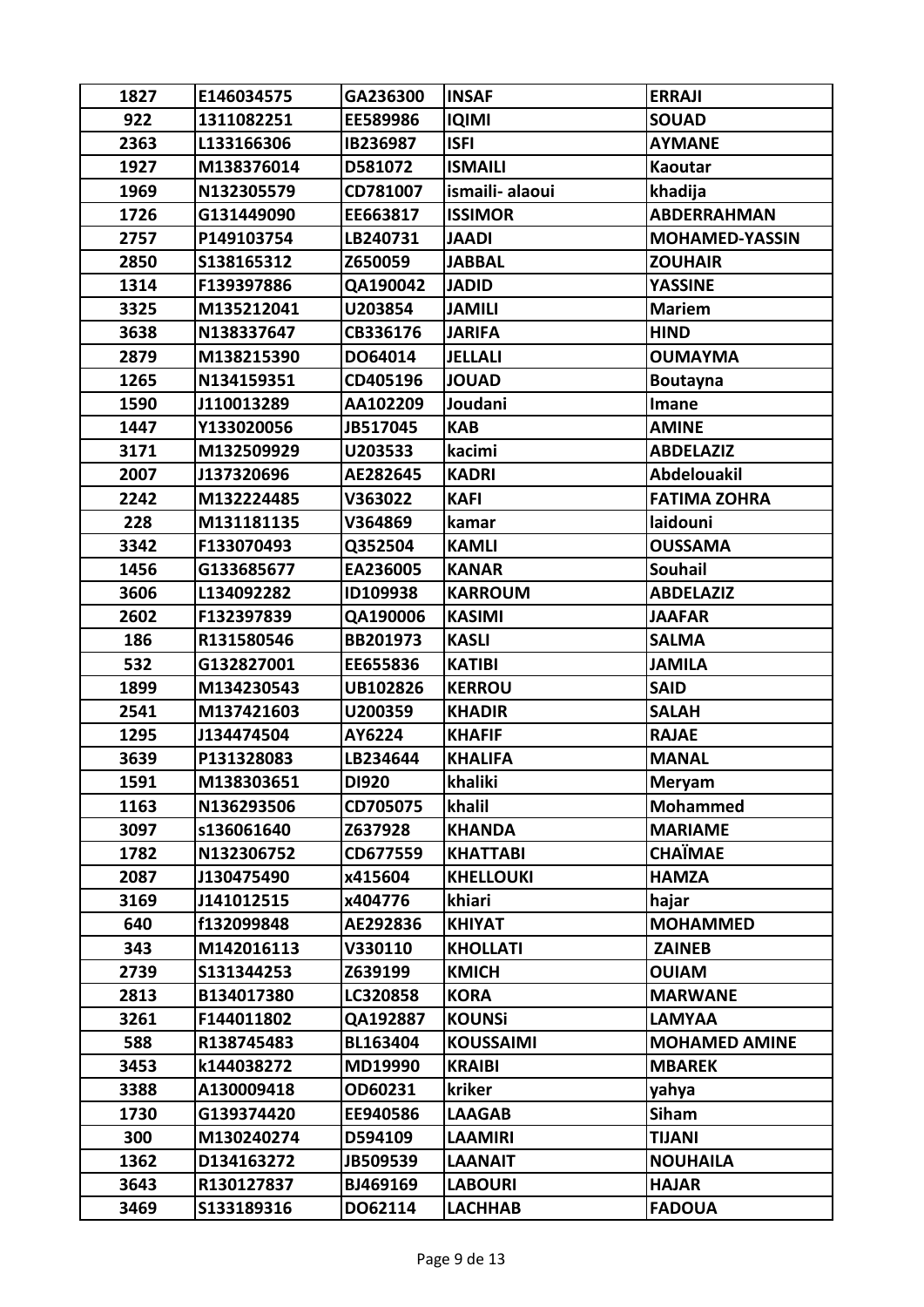| 1827 | E146034575  | GA236300        | <b>INSAF</b>     | <b>ERRAJI</b>         |
|------|-------------|-----------------|------------------|-----------------------|
| 922  | 1311082251  | EE589986        | <b>IQIMI</b>     | <b>SOUAD</b>          |
| 2363 | L133166306  | IB236987        | <b>ISFI</b>      | <b>AYMANE</b>         |
| 1927 | M138376014  | D581072         | <b>ISMAILI</b>   | Kaoutar               |
| 1969 | N132305579  | CD781007        | ismaili- alaoui  | khadija               |
| 1726 | G131449090  | EE663817        | <b>ISSIMOR</b>   | <b>ABDERRAHMAN</b>    |
| 2757 | P149103754  | LB240731        | <b>JAADI</b>     | <b>MOHAMED-YASSIN</b> |
| 2850 | S138165312  | Z650059         | <b>JABBAL</b>    | <b>ZOUHAIR</b>        |
| 1314 | F139397886  | QA190042        | <b>JADID</b>     | <b>YASSINE</b>        |
| 3325 | M135212041  | U203854         | <b>JAMILI</b>    | <b>Mariem</b>         |
| 3638 | N138337647  | CB336176        | <b>JARIFA</b>    | <b>HIND</b>           |
| 2879 | M138215390  | DO64014         | <b>JELLALI</b>   | <b>OUMAYMA</b>        |
| 1265 | N134159351  | CD405196        | <b>JOUAD</b>     | <b>Boutayna</b>       |
| 1590 | J110013289  | AA102209        | Joudani          | Imane                 |
| 1447 | Y133020056  | JB517045        | <b>KAB</b>       | <b>AMINE</b>          |
| 3171 | M132509929  | U203533         | kacimi           | <b>ABDELAZIZ</b>      |
| 2007 | J137320696  | AE282645        | <b>KADRI</b>     | <b>Abdelouakil</b>    |
| 2242 | M132224485  | V363022         | <b>KAFI</b>      | <b>FATIMA ZOHRA</b>   |
| 228  | M131181135  | V364869         | kamar            | laidouni              |
| 3342 | F133070493  | Q352504         | <b>KAMLI</b>     | <b>OUSSAMA</b>        |
| 1456 | G133685677  | EA236005        | <b>KANAR</b>     | <b>Souhail</b>        |
| 3606 | L134092282  | ID109938        | <b>KARROUM</b>   | <b>ABDELAZIZ</b>      |
| 2602 | F132397839  | QA190006        | <b>KASIMI</b>    | <b>JAAFAR</b>         |
| 186  | R131580546  | BB201973        | <b>KASLI</b>     | <b>SALMA</b>          |
| 532  | G132827001  | EE655836        | <b>KATIBI</b>    | <b>JAMILA</b>         |
| 1899 | M134230543  | <b>UB102826</b> | <b>KERROU</b>    | <b>SAID</b>           |
| 2541 | M137421603  | U200359         | <b>KHADIR</b>    | <b>SALAH</b>          |
| 1295 | J134474504  | AY6224          | <b>KHAFIF</b>    | <b>RAJAE</b>          |
| 3639 | P131328083  | LB234644        | <b>KHALIFA</b>   | <b>MANAL</b>          |
| 1591 | M138303651  | DI920           | khaliki          | <b>Meryam</b>         |
| 1163 | N136293506  | CD705075        | khalil           | <b>Mohammed</b>       |
| 3097 | s136061640  | Z637928         | <b>KHANDA</b>    | <b>MARIAME</b>        |
| 1782 | N132306752  | CD677559        | <b>KHATTABI</b>  | <b>CHAÏMAE</b>        |
| 2087 | J130475490  | x415604         | <b>KHELLOUKI</b> | <b>HAMZA</b>          |
| 3169 | J141012515  | x404776         | khiari           | hajar                 |
| 640  | f132099848  | AE292836        | <b>KHIYAT</b>    | <b>MOHAMMED</b>       |
| 343  | M142016113  | V330110         | <b>KHOLLATI</b>  | <b>ZAINEB</b>         |
| 2739 | S131344253  | Z639199         | <b>KMICH</b>     | <b>OUIAM</b>          |
| 2813 | B134017380  | LC320858        | <b>KORA</b>      | <b>MARWANE</b>        |
| 3261 | F144011802  | QA192887        | <b>KOUNSi</b>    | <b>LAMYAA</b>         |
| 588  | R138745483  | BL163404        | <b>KOUSSAIMI</b> | <b>MOHAMED AMINE</b>  |
| 3453 | k144038272  | MD19990         | <b>KRAIBI</b>    | <b>MBAREK</b>         |
| 3388 | A130009418  | OD60231         | kriker           | yahya                 |
| 1730 | G139374420  | EE940586        | <b>LAAGAB</b>    | Siham                 |
| 300  | M130240274  | D594109         | <b>LAAMIRI</b>   | <b>TIJANI</b>         |
| 1362 | D134163272  | JB509539        | <b>LAANAIT</b>   | <b>NOUHAILA</b>       |
| 3643 | R130127837  | BJ469169        | <b>LABOURI</b>   | <b>HAJAR</b>          |
| 3469 | \$133189316 | DO62114         | <b>LACHHAB</b>   | <b>FADOUA</b>         |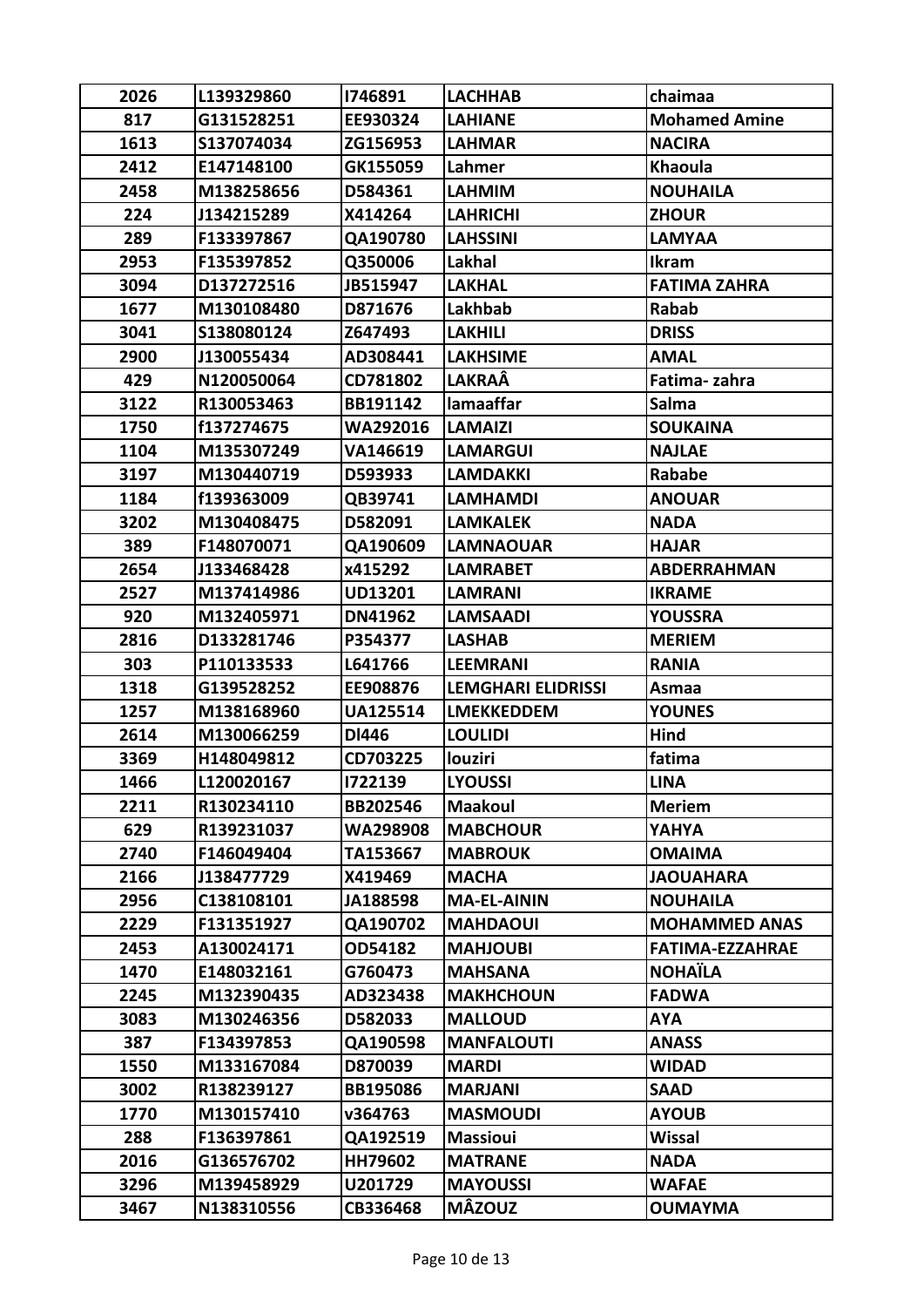| 2026 | L139329860 | 1746891         | <b>LACHHAB</b>            | chaimaa                |
|------|------------|-----------------|---------------------------|------------------------|
| 817  | G131528251 | EE930324        | <b>LAHIANE</b>            | <b>Mohamed Amine</b>   |
| 1613 | S137074034 | ZG156953        | <b>LAHMAR</b>             | <b>NACIRA</b>          |
| 2412 | E147148100 | GK155059        | Lahmer                    | Khaoula                |
| 2458 | M138258656 | D584361         | <b>LAHMIM</b>             | <b>NOUHAILA</b>        |
| 224  | J134215289 | X414264         | <b>LAHRICHI</b>           | <b>ZHOUR</b>           |
| 289  | F133397867 | QA190780        | <b>LAHSSINI</b>           | <b>LAMYAA</b>          |
| 2953 | F135397852 | Q350006         | Lakhal                    | Ikram                  |
| 3094 | D137272516 | JB515947        | <b>LAKHAL</b>             | <b>FATIMA ZAHRA</b>    |
| 1677 | M130108480 | D871676         | <b>Lakhbab</b>            | Rabab                  |
| 3041 | S138080124 | Z647493         | <b>LAKHILI</b>            | <b>DRISS</b>           |
| 2900 | J130055434 | AD308441        | <b>LAKHSIME</b>           | <b>AMAL</b>            |
| 429  | N120050064 | CD781802        | <b>LAKRAÂ</b>             | Fatima-zahra           |
| 3122 | R130053463 | BB191142        | lamaaffar                 | Salma                  |
| 1750 | f137274675 | WA292016        | <b>LAMAIZI</b>            | <b>SOUKAINA</b>        |
| 1104 | M135307249 | VA146619        | <b>LAMARGUI</b>           | <b>NAJLAE</b>          |
| 3197 | M130440719 | D593933         | <b>LAMDAKKI</b>           | Rababe                 |
| 1184 | f139363009 | QB39741         | <b>LAMHAMDI</b>           | <b>ANOUAR</b>          |
| 3202 | M130408475 | D582091         | <b>LAMKALEK</b>           | <b>NADA</b>            |
| 389  | F148070071 | QA190609        | <b>LAMNAOUAR</b>          | <b>HAJAR</b>           |
| 2654 | J133468428 | x415292         | <b>LAMRABET</b>           | <b>ABDERRAHMAN</b>     |
| 2527 | M137414986 | <b>UD13201</b>  | <b>LAMRANI</b>            | <b>IKRAME</b>          |
| 920  | M132405971 | <b>DN41962</b>  | <b>LAMSAADI</b>           | <b>YOUSSRA</b>         |
| 2816 | D133281746 | P354377         | <b>LASHAB</b>             | <b>MERIEM</b>          |
| 303  | P110133533 | L641766         | <b>LEEMRANI</b>           | <b>RANIA</b>           |
| 1318 | G139528252 | EE908876        | <b>LEMGHARI ELIDRISSI</b> | Asmaa                  |
| 1257 | M138168960 | <b>UA125514</b> | <b>LMEKKEDDEM</b>         | <b>YOUNES</b>          |
| 2614 | M130066259 | DI446           | <b>LOULIDI</b>            | Hind                   |
| 3369 | H148049812 | CD703225        | louziri                   | fatima                 |
| 1466 | L120020167 | 1722139         | <b>LYOUSSI</b>            | <b>LINA</b>            |
| 2211 | R130234110 | BB202546        | <b>Maakoul</b>            | <b>Meriem</b>          |
| 629  | R139231037 | WA298908        | <b>MABCHOUR</b>           | YAHYA                  |
| 2740 | F146049404 | TA153667        | <b>MABROUK</b>            | <b>OMAIMA</b>          |
| 2166 | J138477729 | X419469         | <b>MACHA</b>              | <b>JAOUAHARA</b>       |
| 2956 | C138108101 | JA188598        | <b>MA-EL-AININ</b>        | <b>NOUHAILA</b>        |
| 2229 | F131351927 | QA190702        | <b>MAHDAOUI</b>           | <b>MOHAMMED ANAS</b>   |
| 2453 | A130024171 | OD54182         | <b>MAHJOUBI</b>           | <b>FATIMA-EZZAHRAE</b> |
| 1470 | E148032161 | G760473         | <b>MAHSANA</b>            | <b>NOHAÏLA</b>         |
| 2245 | M132390435 | AD323438        | <b>MAKHCHOUN</b>          | <b>FADWA</b>           |
| 3083 | M130246356 | D582033         | <b>MALLOUD</b>            | <b>AYA</b>             |
| 387  | F134397853 | QA190598        | <b>MANFALOUTI</b>         | <b>ANASS</b>           |
| 1550 | M133167084 | D870039         | <b>MARDI</b>              | <b>WIDAD</b>           |
| 3002 | R138239127 | <b>BB195086</b> | <b>MARJANI</b>            | <b>SAAD</b>            |
| 1770 | M130157410 | v364763         | <b>MASMOUDI</b>           | <b>AYOUB</b>           |
| 288  | F136397861 | QA192519        | <b>Massioui</b>           | <b>Wissal</b>          |
| 2016 | G136576702 | HH79602         | <b>MATRANE</b>            | <b>NADA</b>            |
| 3296 | M139458929 | U201729         | <b>MAYOUSSI</b>           | <b>WAFAE</b>           |
| 3467 | N138310556 | CB336468        | <b>MÂZOUZ</b>             | <b>OUMAYMA</b>         |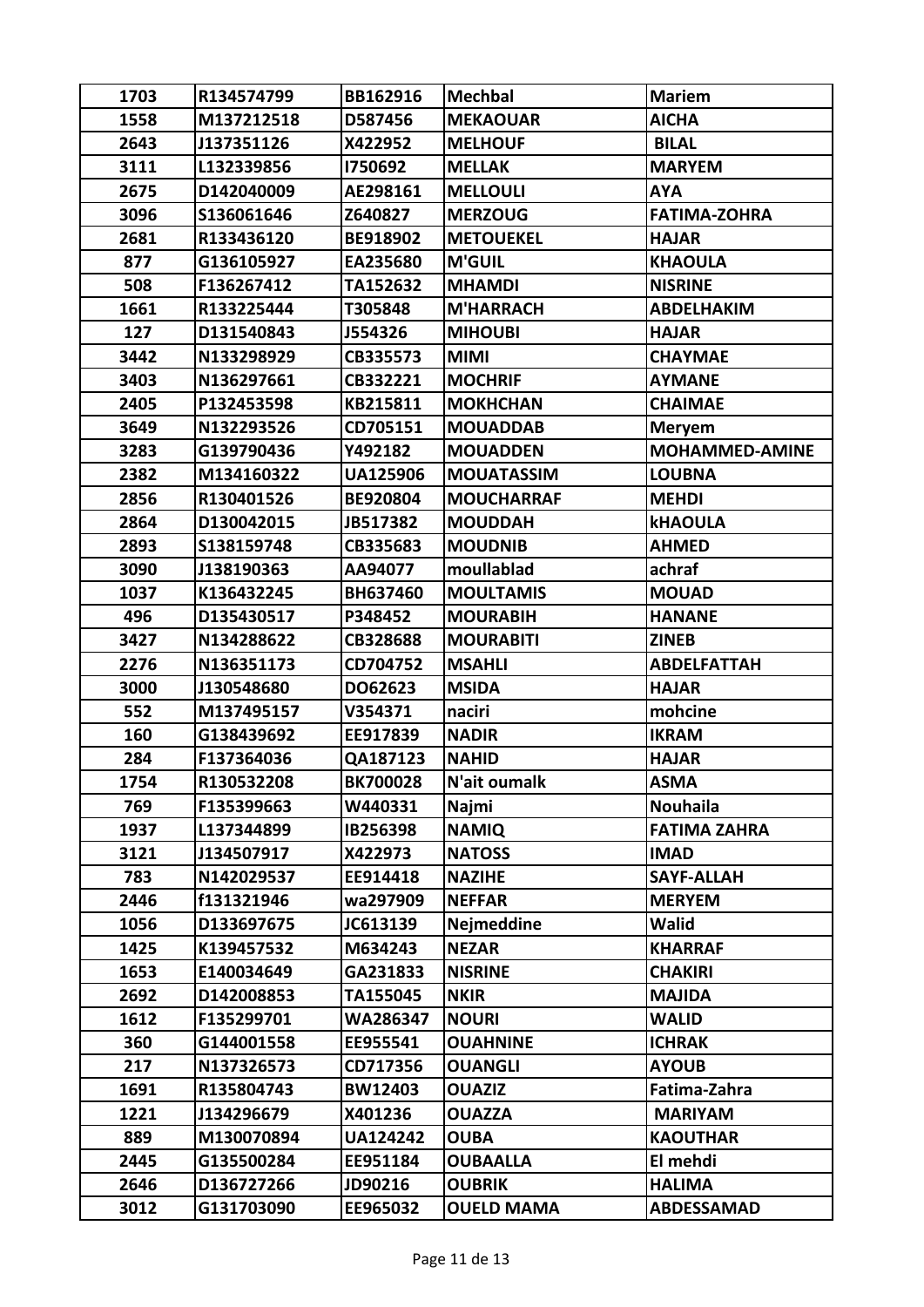| 1703 | R134574799 | BB162916        | <b>Mechbal</b>    | <b>Mariem</b>         |
|------|------------|-----------------|-------------------|-----------------------|
| 1558 | M137212518 | D587456         | <b>MEKAOUAR</b>   | <b>AICHA</b>          |
| 2643 | J137351126 | X422952         | <b>MELHOUF</b>    | <b>BILAL</b>          |
| 3111 | L132339856 | 1750692         | <b>MELLAK</b>     | <b>MARYEM</b>         |
| 2675 | D142040009 | AE298161        | <b>MELLOULI</b>   | <b>AYA</b>            |
| 3096 | S136061646 | Z640827         | <b>MERZOUG</b>    | <b>FATIMA-ZOHRA</b>   |
| 2681 | R133436120 | BE918902        | <b>METOUEKEL</b>  | <b>HAJAR</b>          |
| 877  | G136105927 | EA235680        | <b>M'GUIL</b>     | <b>KHAOULA</b>        |
| 508  | F136267412 | TA152632        | <b>MHAMDI</b>     | <b>NISRINE</b>        |
| 1661 | R133225444 | T305848         | <b>M'HARRACH</b>  | <b>ABDELHAKIM</b>     |
| 127  | D131540843 | J554326         | <b>MIHOUBI</b>    | <b>HAJAR</b>          |
| 3442 | N133298929 | CB335573        | <b>MIMI</b>       | <b>CHAYMAE</b>        |
| 3403 | N136297661 | CB332221        | <b>MOCHRIF</b>    | <b>AYMANE</b>         |
| 2405 | P132453598 | KB215811        | <b>MOKHCHAN</b>   | <b>CHAIMAE</b>        |
| 3649 | N132293526 | CD705151        | <b>MOUADDAB</b>   | <b>Meryem</b>         |
| 3283 | G139790436 | Y492182         | <b>MOUADDEN</b>   | <b>MOHAMMED-AMINE</b> |
| 2382 | M134160322 | <b>UA125906</b> | <b>MOUATASSIM</b> | <b>LOUBNA</b>         |
| 2856 | R130401526 | BE920804        | <b>MOUCHARRAF</b> | <b>MEHDI</b>          |
| 2864 | D130042015 | JB517382        | <b>MOUDDAH</b>    | <b>kHAOULA</b>        |
| 2893 | S138159748 | CB335683        | <b>MOUDNIB</b>    | <b>AHMED</b>          |
| 3090 | J138190363 | AA94077         | moullablad        | achraf                |
| 1037 | K136432245 | BH637460        | <b>MOULTAMIS</b>  | <b>MOUAD</b>          |
| 496  | D135430517 | P348452         | <b>MOURABIH</b>   | <b>HANANE</b>         |
| 3427 | N134288622 | CB328688        | <b>MOURABITI</b>  | <b>ZINEB</b>          |
| 2276 | N136351173 | CD704752        | <b>MSAHLI</b>     | <b>ABDELFATTAH</b>    |
| 3000 | J130548680 | DO62623         | <b>MSIDA</b>      | <b>HAJAR</b>          |
| 552  | M137495157 | V354371         | naciri            | mohcine               |
| 160  | G138439692 | EE917839        | <b>NADIR</b>      | <b>IKRAM</b>          |
| 284  | F137364036 | QA187123        | <b>NAHID</b>      | <b>HAJAR</b>          |
| 1754 | R130532208 | <b>BK700028</b> | N'ait oumalk      | <b>ASMA</b>           |
| 769  | F135399663 | W440331         | Najmi             | <b>Nouhaila</b>       |
| 1937 | L137344899 | IB256398        | <b>NAMIQ</b>      | <b>FATIMA ZAHRA</b>   |
| 3121 | J134507917 | X422973         | <b>NATOSS</b>     | <b>IMAD</b>           |
| 783  | N142029537 | EE914418        | <b>NAZIHE</b>     | <b>SAYF-ALLAH</b>     |
| 2446 | f131321946 | wa297909        | <b>NEFFAR</b>     | <b>MERYEM</b>         |
| 1056 | D133697675 | JC613139        | <b>Nejmeddine</b> | Walid                 |
| 1425 | K139457532 | M634243         | <b>NEZAR</b>      | <b>KHARRAF</b>        |
| 1653 | E140034649 | GA231833        | <b>NISRINE</b>    | <b>CHAKIRI</b>        |
| 2692 | D142008853 | TA155045        | <b>NKIR</b>       | <b>MAJIDA</b>         |
| 1612 | F135299701 | WA286347        | <b>NOURI</b>      | <b>WALID</b>          |
| 360  | G144001558 | EE955541        | <b>OUAHNINE</b>   | <b>ICHRAK</b>         |
| 217  | N137326573 | CD717356        | <b>OUANGLI</b>    | <b>AYOUB</b>          |
| 1691 | R135804743 | <b>BW12403</b>  | <b>OUAZIZ</b>     | Fatima-Zahra          |
| 1221 | J134296679 | X401236         | <b>OUAZZA</b>     | <b>MARIYAM</b>        |
|      |            |                 |                   |                       |
| 889  | M130070894 | <b>UA124242</b> | <b>OUBA</b>       | <b>KAOUTHAR</b>       |
| 2445 | G135500284 | EE951184        | <b>OUBAALLA</b>   | El mehdi              |
| 2646 | D136727266 | JD90216         | <b>OUBRIK</b>     | <b>HALIMA</b>         |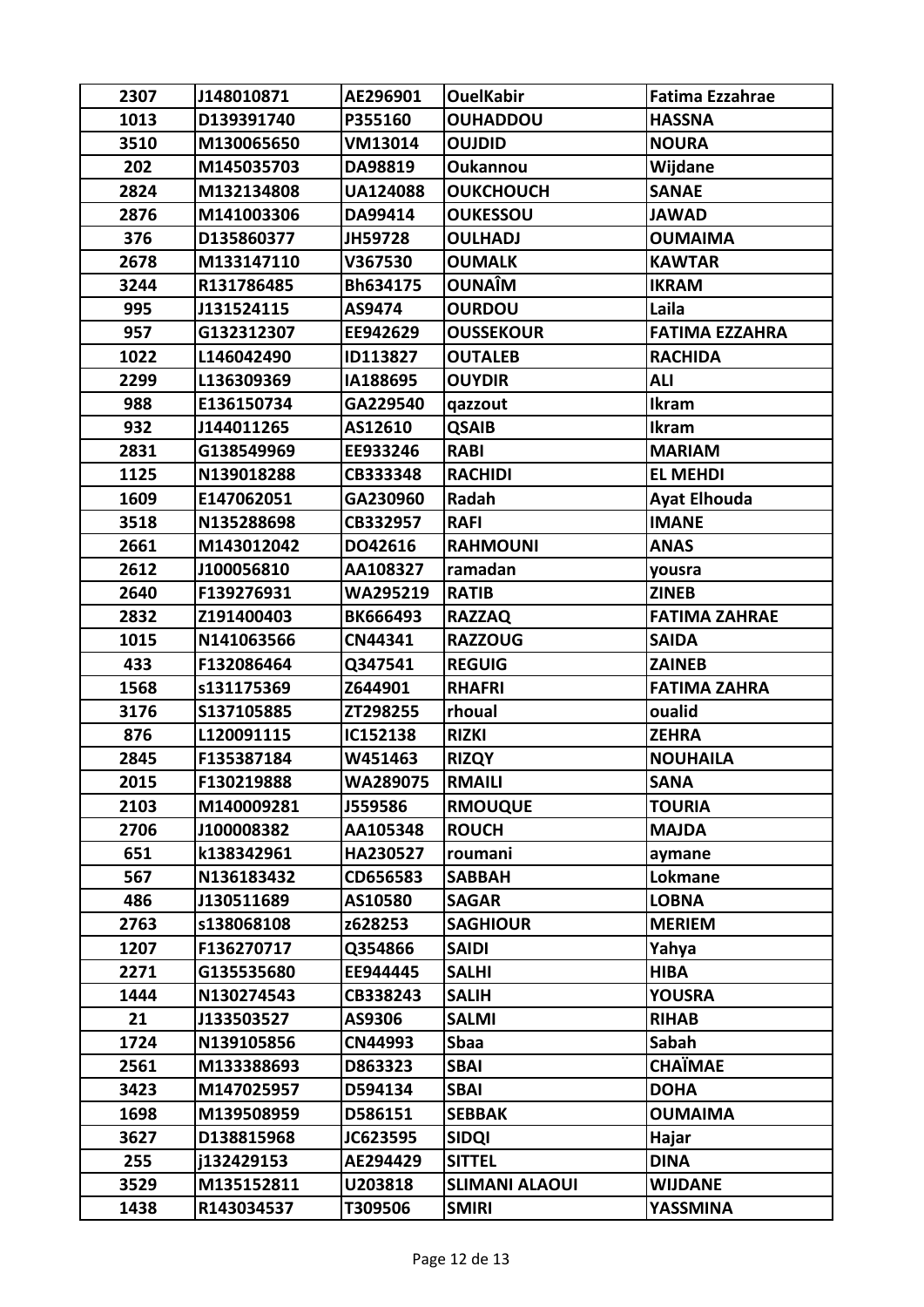| 2307 | J148010871 | AE296901        | <b>OuelKabir</b>      | <b>Fatima Ezzahrae</b> |
|------|------------|-----------------|-----------------------|------------------------|
| 1013 | D139391740 | P355160         | <b>OUHADDOU</b>       | <b>HASSNA</b>          |
| 3510 | M130065650 | VM13014         | <b>OUJDID</b>         | <b>NOURA</b>           |
| 202  | M145035703 | DA98819         | <b>Oukannou</b>       | Wijdane                |
| 2824 | M132134808 | <b>UA124088</b> | <b>OUKCHOUCH</b>      | <b>SANAE</b>           |
| 2876 | M141003306 | DA99414         | <b>OUKESSOU</b>       | <b>JAWAD</b>           |
| 376  | D135860377 | JH59728         | <b>OULHADJ</b>        | <b>OUMAIMA</b>         |
| 2678 | M133147110 | V367530         | <b>OUMALK</b>         | <b>KAWTAR</b>          |
| 3244 | R131786485 | Bh634175        | <b>OUNAÎM</b>         | <b>IKRAM</b>           |
| 995  | J131524115 | AS9474          | <b>OURDOU</b>         | Laila                  |
| 957  | G132312307 | EE942629        | <b>OUSSEKOUR</b>      | <b>FATIMA EZZAHRA</b>  |
| 1022 | L146042490 | ID113827        | <b>OUTALEB</b>        | <b>RACHIDA</b>         |
| 2299 | L136309369 | IA188695        | <b>OUYDIR</b>         | <b>ALI</b>             |
| 988  | E136150734 | GA229540        | qazzout               | <b>Ikram</b>           |
| 932  | J144011265 | AS12610         | <b>QSAIB</b>          | <b>Ikram</b>           |
| 2831 | G138549969 | EE933246        | <b>RABI</b>           | <b>MARIAM</b>          |
| 1125 | N139018288 | CB333348        | <b>RACHIDI</b>        | <b>EL MEHDI</b>        |
| 1609 | E147062051 | GA230960        | Radah                 | <b>Ayat Elhouda</b>    |
| 3518 | N135288698 | CB332957        | <b>RAFI</b>           | <b>IMANE</b>           |
| 2661 | M143012042 | DO42616         | <b>RAHMOUNI</b>       | <b>ANAS</b>            |
| 2612 | J100056810 | AA108327        | ramadan               | yousra                 |
| 2640 | F139276931 | WA295219        | <b>RATIB</b>          | <b>ZINEB</b>           |
| 2832 | Z191400403 | <b>BK666493</b> | <b>RAZZAQ</b>         | <b>FATIMA ZAHRAE</b>   |
| 1015 | N141063566 | CN44341         | <b>RAZZOUG</b>        | <b>SAIDA</b>           |
| 433  | F132086464 | Q347541         | <b>REGUIG</b>         | <b>ZAINEB</b>          |
| 1568 | s131175369 | Z644901         | <b>RHAFRI</b>         | <b>FATIMA ZAHRA</b>    |
| 3176 | S137105885 | ZT298255        | rhoual                | oualid                 |
| 876  | L120091115 | IC152138        | <b>RIZKI</b>          | <b>ZEHRA</b>           |
| 2845 | F135387184 | W451463         | <b>RIZQY</b>          | <b>NOUHAILA</b>        |
| 2015 | F130219888 | WA289075        | <b>RMAILI</b>         | <b>SANA</b>            |
| 2103 | M140009281 | J559586         | <b>RMOUQUE</b>        | <b>TOURIA</b>          |
| 2706 | J100008382 | AA105348        | <b>ROUCH</b>          | <b>MAJDA</b>           |
| 651  | k138342961 | HA230527        | roumani               | aymane                 |
| 567  | N136183432 | CD656583        | <b>SABBAH</b>         | Lokmane                |
| 486  | J130511689 | AS10580         | <b>SAGAR</b>          | <b>LOBNA</b>           |
| 2763 | s138068108 | z628253         | <b>SAGHIOUR</b>       | <b>MERIEM</b>          |
| 1207 | F136270717 | Q354866         | <b>SAIDI</b>          | Yahya                  |
| 2271 | G135535680 | EE944445        | <b>SALHI</b>          | <b>HIBA</b>            |
| 1444 | N130274543 | CB338243        | <b>SALIH</b>          | <b>YOUSRA</b>          |
| 21   | J133503527 | AS9306          | <b>SALMI</b>          | <b>RIHAB</b>           |
| 1724 | N139105856 | <b>CN44993</b>  | Sbaa                  | Sabah                  |
| 2561 | M133388693 | D863323         | <b>SBAI</b>           | <b>CHAÏMAE</b>         |
| 3423 | M147025957 | D594134         | <b>SBAI</b>           | <b>DOHA</b>            |
| 1698 | M139508959 | D586151         | <b>SEBBAK</b>         | <b>OUMAIMA</b>         |
| 3627 | D138815968 | JC623595        | <b>SIDQI</b>          | Hajar                  |
| 255  | j132429153 | AE294429        | <b>SITTEL</b>         | <b>DINA</b>            |
| 3529 | M135152811 | U203818         | <b>SLIMANI ALAOUI</b> | <b>WIJDANE</b>         |
| 1438 | R143034537 | T309506         | <b>SMIRI</b>          | YASSMINA               |